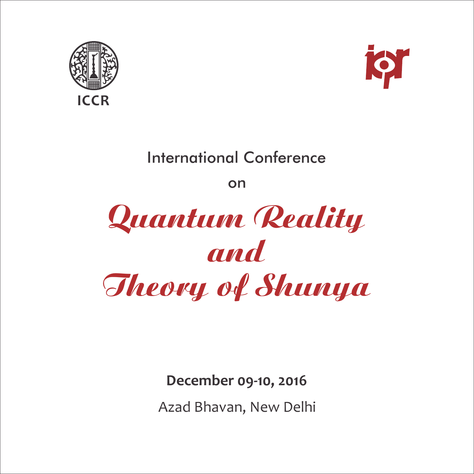



# International Conference

on



**December 09‐10, 2016**

Azad Bhavan, New Delhi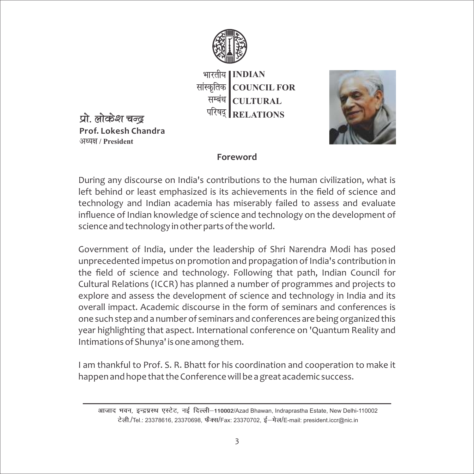

भारतीय | INDIAN सांस्कृतिक COUNCIL FOR **CULTURAL RELATIONS** सम्बंध | परिषद्



**Prof. Lokesh Chandra** प्रो. लोकेश चन्द **v/;{k / President**

#### **Foreword**

During any discourse on India's contributions to the human civilization, what is left behind or least emphasized is its achievements in the field of science and technology and Indian academia has miserably failed to assess and evaluate influence of Indian knowledge of science and technology on the development of science and technology in other parts of the world.

Government of India, under the leadership of Shri Narendra Modi has posed unprecedented impetus on promotion and propagation of India's contribution in the field of science and technology. Following that path, Indian Council for Cultural Relations (ICCR) has planned a number of programmes and projects to explore and assess the development of science and technology in India and its overall impact. Academic discourse in the form of seminars and conferences is one such step and a number of seminars and conferences are being organized this year highlighting that aspect. International conference on 'Quantum Reality and Intimations of Shunya' is one among them.

I am thankful to Prof. S. R. Bhatt for his coordination and cooperation to make it happen and hope that the Conference will be a great academic success.

आजाद भवन, इन्द्रप्रस्थ एस्टेट, नई दिल्ली–110002/Azad Bhawan, Indraprastha Estate, New Delhi-110002 **Vsyh-**/Tel.: 23378616, 23370698, **QSDl**/Fax: 23370702, **bZ&esy**/E-mail: president.iccr@nic.in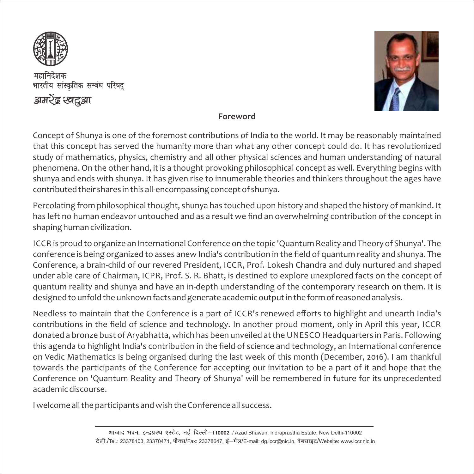

महानिदेशक भारतीय सांस्कृतिक सम्बंध परिषद अमेरेंद्र खद्रश



#### **Foreword**

Concept of Shunya is one of the foremost contributions of India to the world. It may be reasonably maintained that this concept has served the humanity more than what any other concept could do. It has revolutionized study of mathematics, physics, chemistry and all other physical sciences and human understanding of natural phenomena. On the other hand, it is a thought provoking philosophical concept as well. Everything begins with shunya and ends with shunya. It has given rise to innumerable theories and thinkers throughout the ages have contributed their shares in this all‐encompassing concept of shunya.

Percolating from philosophical thought, shunya has touched upon history and shaped the history of mankind. It has left no human endeavor untouched and as a result we find an overwhelming contribution of the concept in shaping human civilization.

ICCR is proud to organize an International Conference on the topic 'Quantum Reality and Theory of Shunya'. The conference is being organized to asses anew India's contribution in the field of quantum reality and shunya. The Conference, a brain‐child of our revered President, ICCR, Prof. Lokesh Chandra and duly nurtured and shaped under able care of Chairman, ICPR, Prof. S. R. Bhatt, is destined to explore unexplored facts on the concept of quantum reality and shunya and have an in-depth understanding of the contemporary research on them. It is designed to unfold the unknown facts and generate academic output in the form of reasoned analysis.

Needless to maintain that the Conference is a part of ICCR's renewed efforts to highlight and unearth India's contributions in the field of science and technology. In another proud moment, only in April this year, ICCR donated a bronze bust of Aryabhatta, which has been unveiled at the UNESCO Headquarters in Paris. Following this agenda to highlight India's contribution in the field of science and technology, an International conference on Vedic Mathematics is being organised during the last week of this month (December, 2016). I am thankful towards the participants of the Conference for accepting our invitation to be a part of it and hope that the Conference on 'Quantum Reality and Theory of Shunya' will be remembered in future for its unprecedented academic discourse.

I welcome all the participants and wish the Conference all success.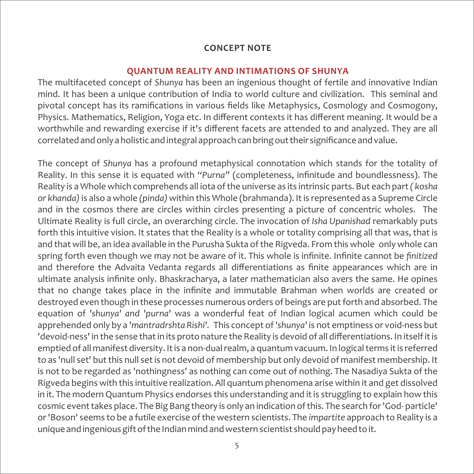#### **CONCEPT NOTE**

#### **QUANTUM REALITY AND INTIMATIONS OF SHUNYA**

The multifaceted concept of *Shunya* has been an ingenious thought of fertile and innovative Indian mind. It has been a unique contribution of India to world culture and civilization. This seminal and pivotal concept has its ramifications in various fields like Metaphysics, Cosmology and Cosmogony, Physics. Mathematics, Religion, Yoga etc. In different contexts it has different meaning. It would be a worthwhile and rewarding exercise if it's different facets are attended to and analyzed. They are all correlated and only a holistic and integral approach can bring out their significance and value.

The concept of *Shunya* has a profound metaphysical connotation which stands for the totality of Reality. In this sense it is equated with *"Purna"* (completeness, infinitude and boundlessness). The Reality is a Whole which comprehends all iota of the universe as its intrinsic parts. But each part*( kosha or khanda)*is also a whole *(pinda)* within this Whole (brahmanda). It is represented as a Supreme Circle and in the cosmos there are circles within circles presenting a picture of concentric wholes. The Ultimate Reality is full circle, an overarching circle. The invocation of *Isha Upanishad* remarkably puts forth this intuitive vision. It states that the Reality is a whole or totality comprising all that was, that is and that will be, an idea available in the Purusha Sukta of the Rigveda. From this whole only whole can spring forth even though we may not be aware of it. This whole is infinite. Infinite cannot be *finitized* and therefore the Advaita Vedanta regards all differentiations as finite appearances which are in ultimate analysis infinite only. Bhaskracharya, a later mathematician also avers the same. He opines that no change takes place in the infinite and immutable Brahman when worlds are created or destroyed even though in these processes numerous orders of beings are put forth and absorbed. The equation of *'shunya' and 'purna'* was a wonderful feat of Indian logical acumen which could be apprehended only by a *'mantradrshta Rishi'.* This concept of *'shunya'* is not emptiness or void‐ness but 'devoid‐ness' in the sense that in its proto nature the Reality is devoid of all differentiations. In itself it is emptied of all manifest diversity. It is a non-dual realm, a quantum vacuum. In logical terms it is referred to as 'null set' but this null set is not devoid of membership but only devoid of manifest membership. It is not to be regarded as 'nothingness' as nothing can come out of nothing. The Nasadiya Sukta of the Rigveda begins with this intuitive realization. All quantum phenomena arise within it and get dissolved in it. The modern Quantum Physics endorses this understanding and it is struggling to explain how this cosmic event takes place. The Big Bang theory is only an indication of this. The search for 'God‐ particle' or 'Boson' seems to be a futile exercise of the western scientists. The *impartite* approach to Reality is a unique and ingenious gift of the Indian mind and western scientist should pay heed to it.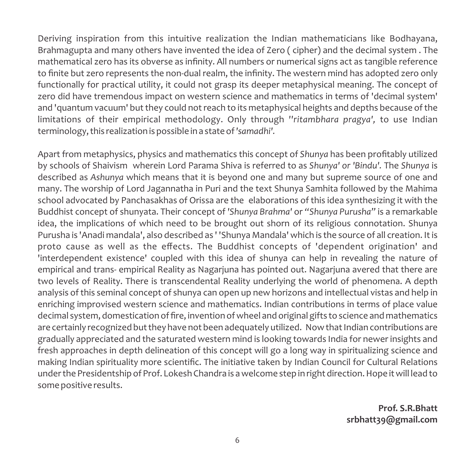Deriving inspiration from this intuitive realization the Indian mathematicians like Bodhayana, Brahmagupta and many others have invented the idea of Zero ( cipher) and the decimal system . The mathematical zero has its obverse as infinity. All numbers or numerical signs act as tangible reference to finite but zero represents the non-dual realm, the infinity. The western mind has adopted zero only functionally for practical utility, it could not grasp its deeper metaphysical meaning. The concept of zero did have tremendous impact on western science and mathematics in terms of 'decimal system' and 'quantum vacuum' but they could not reach to its metaphysical heights and depths because of the limitations of their empirical methodology. Only through *''ritambhara pragya',* to use Indian terminology, this realization is possible in a state of *'samadhi'.*

Apart from metaphysics, physics and mathematics this concept of *Shunya* has been profitably utilized by schools of Shaivism wherein Lord Parama Shiva is referred to as *Shunya' or 'Bindu'.* The *Shunya* is described as *Ashunya* which means that it is beyond one and many but supreme source of one and many. The worship of Lord Jagannatha in Puri and the text Shunya Samhita followed by the Mahima school advocated by Panchasakhas of Orissa are the elaborations of this idea synthesizing it with the Buddhist concept of shunyata. Their concept of *'Shunya Brahma'* or *"Shunya Purusha"* is a remarkable idea, the implications of which need to be brought out shorn of its religious connotation. Shunya Purusha is 'Anadi mandala', also described as ' 'Shunya Mandala' which is the source of all creation. It is proto cause as well as the effects. The Buddhist concepts of 'dependent origination' and 'interdependent existence' coupled with this idea of shunya can help in revealing the nature of empirical and trans- empirical Reality as Nagarjuna has pointed out. Nagarjuna avered that there are two levels of Reality. There is transcendental Reality underlying the world of phenomena. A depth analysis of this seminal concept of shunya can open up new horizons and intellectual vistas and help in enriching improvised western science and mathematics. Indian contributions in terms of place value decimal system, domestication of fire, invention of wheel and original gifts to science and mathematics are certainly recognized but they have not been adequately utilized. Now that Indian contributions are gradually appreciated and the saturated western mind is looking towards India for newer insights and fresh approaches in depth delineation of this concept will go a long way in spiritualizing science and making Indian spirituality more scientific. The initiative taken by Indian Council for Cultural Relations under the Presidentship of Prof. Lokesh Chandra is a welcome step in right direction. Hope it will lead to some positive results.

> **Prof. S.R.Bhatt srbhatt39@gmail.com**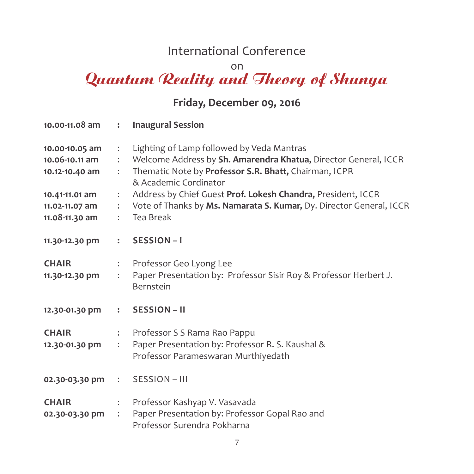## International Conference

on

# Quantum Reality and Theory of Shunya

## **Friday, December 09, 2016**

|                                                                                                          |                                                                                                                                          | 10.00-11.08 am : lnaugural Session                                                                                                                                                                                                                                                                                                                 |
|----------------------------------------------------------------------------------------------------------|------------------------------------------------------------------------------------------------------------------------------------------|----------------------------------------------------------------------------------------------------------------------------------------------------------------------------------------------------------------------------------------------------------------------------------------------------------------------------------------------------|
| 10.00-10.05 am<br>10.06-10.11 am<br>10.12-10.40 am<br>10.41-11.01 am<br>11.02-11.07 am<br>11.08-11.30 am | $\ddot{\cdot}$<br>$\mathbb{R}^{\mathbb{Z}}$<br>$\mathbb{R}^{\mathbb{Z}}$<br>$\ddot{\cdot}$<br>$\mathcal{L}$<br>$\mathbb{R}^{\mathbb{Z}}$ | Lighting of Lamp followed by Veda Mantras<br>Welcome Address by Sh. Amarendra Khatua, Director General, ICCR<br>Thematic Note by Professor S.R. Bhatt, Chairman, ICPR<br>& Academic Cordinator<br>Address by Chief Guest Prof. Lokesh Chandra, President, ICCR<br>Vote of Thanks by Ms. Namarata S. Kumar, Dy. Director General, ICCR<br>Tea Break |
| 11.30-12.30 pm                                                                                           |                                                                                                                                          | $:$ SESSION-I                                                                                                                                                                                                                                                                                                                                      |
| <b>CHAIR</b><br>11.30-12.30 pm                                                                           | $\ddot{\cdot}$<br>$\ddot{\cdot}$                                                                                                         | Professor Geo Lyong Lee<br>Paper Presentation by: Professor Sisir Roy & Professor Herbert J.<br>Bernstein                                                                                                                                                                                                                                          |
| 12.30-01.30 pm                                                                                           |                                                                                                                                          | $:$ SESSION – II                                                                                                                                                                                                                                                                                                                                   |
| <b>CHAIR</b><br>12.30-01.30 pm                                                                           | $\mathcal{L}$<br>$\mathcal{L}$                                                                                                           | Professor S S Rama Rao Pappu<br>Paper Presentation by: Professor R. S. Kaushal &<br>Professor Parameswaran Murthiyedath                                                                                                                                                                                                                            |
| 02.30-03.30 pm : SESSION - III                                                                           |                                                                                                                                          |                                                                                                                                                                                                                                                                                                                                                    |
| <b>CHAIR</b><br>02.30-03.30 pm                                                                           | $\ddot{\phantom{a}}$<br>$\ddot{\cdot}$                                                                                                   | Professor Kashyap V. Vasavada<br>Paper Presentation by: Professor Gopal Rao and<br>Professor Surendra Pokharna                                                                                                                                                                                                                                     |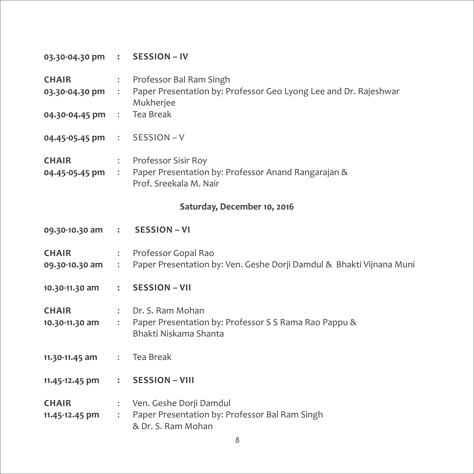| 03.30-04.30 pm :                             |                      | <b>SESSION - IV</b>                                                                                      |
|----------------------------------------------|----------------------|----------------------------------------------------------------------------------------------------------|
| <b>CHAIR</b><br>03.30-04.30 pm :             | $\ddot{\cdot}$       | Professor Bal Ram Singh<br>Paper Presentation by: Professor Geo Lyong Lee and Dr. Rajeshwar<br>Mukherjee |
| 04.30-04.45 pm                               | $\mathcal{L}$        | Tea Break                                                                                                |
| $04.45 - 05.45 \text{ pm}$ :                 |                      | SESSION-V                                                                                                |
| <b>CHAIR</b><br>$04.45 - 05.45 \text{ pm}$ : | $\ddot{\phantom{a}}$ | Professor Sisir Roy<br>Paper Presentation by: Professor Anand Rangarajan &<br>Prof. Sreekala M. Nair     |

### **Saturday, December 10, 2016**

| 09.30-10.30 am : SESSION - VI    |                                        |                                                                                                      |
|----------------------------------|----------------------------------------|------------------------------------------------------------------------------------------------------|
| <b>CHAIR</b><br>09.30-10.30 am : | $\ddot{\cdot}$                         | Professor Gopal Rao<br>Paper Presentation by: Ven. Geshe Dorji Damdul & Bhakti Vijnana Muni          |
| 10.30-11.30 am                   | $\mathbf{r}$                           | <b>SESSION – VII</b>                                                                                 |
| <b>CHAIR</b><br>10.30-11.30 am   | $\ddot{\cdot}$                         | : Dr. S. Ram Mohan<br>Paper Presentation by: Professor S S Rama Rao Pappu &<br>Bhakti Niskama Shanta |
| 11.30-11.45 am                   |                                        | : Tea Break                                                                                          |
| 11.45-12.45 pm                   | $\ddot{\phantom{a}}$                   | <b>SESSION - VIII</b>                                                                                |
| <b>CHAIR</b><br>11.45-12.45 pm   | $\ddot{\phantom{a}}$<br>$\ddot{\cdot}$ | Ven. Geshe Dorji Damdul<br>Paper Presentation by: Professor Bal Ram Singh<br>& Dr. S. Ram Mohan      |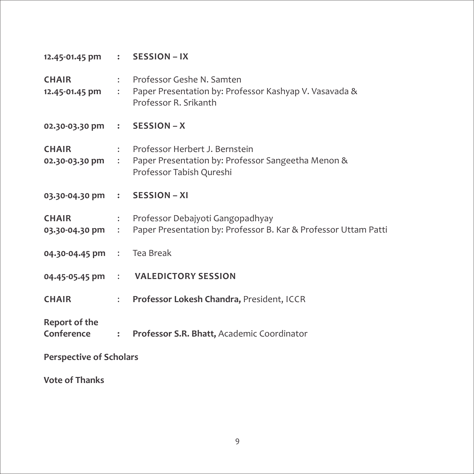| 12.45-01.45 pm : SESSION - IX      |                          |                                                                                                                    |  |  |
|------------------------------------|--------------------------|--------------------------------------------------------------------------------------------------------------------|--|--|
| <b>CHAIR</b><br>12.45-01.45 pm     | $\mathbb{Z}$             | : Professor Geshe N. Samten<br>Paper Presentation by: Professor Kashyap V. Vasavada &<br>Professor R. Srikanth     |  |  |
| 02.30-03.30 pm : SESSION - X       |                          |                                                                                                                    |  |  |
| <b>CHAIR</b><br>02.30-03.30 pm     | $\mathbb{R}^n$           | : Professor Herbert J. Bernstein<br>Paper Presentation by: Professor Sangeetha Menon &<br>Professor Tabish Qureshi |  |  |
| 03.30-04.30 pm : SESSION - XI      |                          |                                                                                                                    |  |  |
| <b>CHAIR</b><br>03.30-04.30 pm     | $\mathcal{L}_{\rm{max}}$ | : Professor Debajyoti Gangopadhyay<br>Paper Presentation by: Professor B. Kar & Professor Uttam Patti              |  |  |
| 04.30-04.45 pm : Tea Break         |                          |                                                                                                                    |  |  |
| 04.45-05.45 pm                     |                          | : VALEDICTORY SESSION                                                                                              |  |  |
| <b>CHAIR</b>                       | $\ddot{\phantom{a}}$     | Professor Lokesh Chandra, President, ICCR                                                                          |  |  |
| <b>Report of the</b><br>Conference | $\ddot{\cdot}$           | Professor S.R. Bhatt, Academic Coordinator                                                                         |  |  |
| <b>Perspective of Scholars</b>     |                          |                                                                                                                    |  |  |

**Vote of Thanks**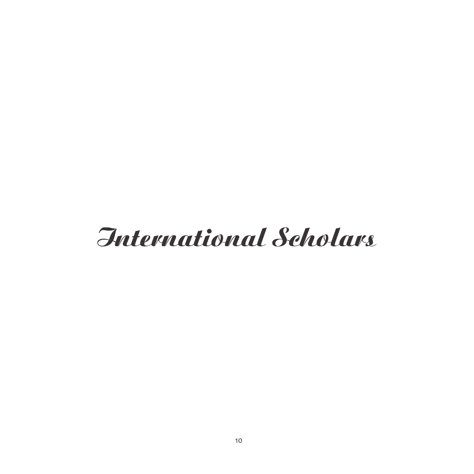# International Scholars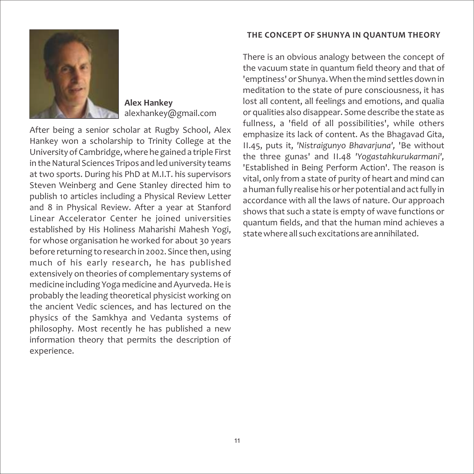#### **THE CONCEPT OF SHUNYA IN QUANTUM THEORY**



**Alex Hankey** alexhankey@gmail.com

After being a senior scholar at Rugby School, Alex Hankey won a scholarship to Trinity College at the University of Cambridge, where he gained a triple First in the Natural Sciences Tripos and led university teams at two sports. During his PhD at M.I.T. his supervisors Steven Weinberg and Gene Stanley directed him to publish 10 articles including a Physical Review Letter and 8 in Physical Review. After a year at Stanford Linear Accelerator Center he joined universities established by His Holiness Maharishi Mahesh Yogi, for whose organisation he worked for about 30 years before returning to research in 2002. Since then, using much of his early research, he has published extensively on theories of complementary systems of medicine including Yoga medicine and Ayurveda. He is probably the leading theoretical physicist working on the ancient Vedic sciences, and has lectured on the physics of the Samkhya and Vedanta systems of philosophy. Most recently he has published a new information theory that permits the description of experience.

There is an obvious analogy between the concept of the vacuum state in quantum field theory and that of 'emptiness' or Shunya. When the mind settles down in meditation to the state of pure consciousness, it has lost all content, all feelings and emotions, and qualia or qualities also disappear. Some describe the state as fullness, a 'field of all possibilities', while others emphasize its lack of content. As the Bhagavad Gita, II.45, puts it, *'Nistraigunyo Bhavarjuna',* 'Be without the three gunas' and II.48 *'Yogastahkurukarmani',* 'Established in Being Perform Action'. The reason is vital, only from a state of purity of heart and mind can a human fully realise his or her potential and act fully in accordance with all the laws of nature. Our approach shows that such a state is empty of wave functions or quantum fields, and that the human mind achieves a state where all such excitations are annihilated.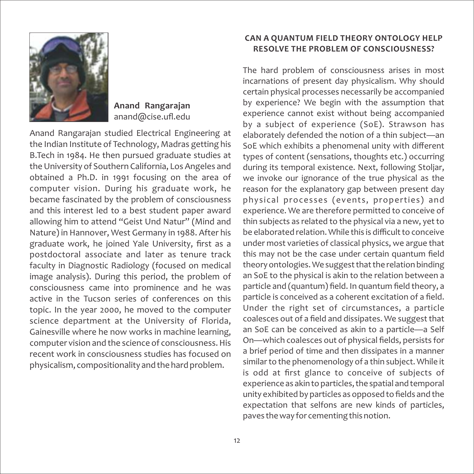

#### **Anand Rangarajan** anand@cise.ufl.edu

Anand Rangarajan studied Electrical Engineering at the Indian Institute of Technology, Madras getting his B.Tech in 1984. He then pursued graduate studies at the University of Southern California, Los Angeles and obtained a Ph.D. in 1991 focusing on the area of computer vision. During his graduate work, he became fascinated by the problem of consciousness and this interest led to a best student paper award allowing him to attend "Geist Und Natur" (Mind and Nature) in Hannover, West Germany in 1988. After his graduate work, he joined Yale University, first as a postdoctoral associate and later as tenure track faculty in Diagnostic Radiology (focused on medical image analysis). During this period, the problem of consciousness came into prominence and he was active in the Tucson series of conferences on this topic. In the year 2000, he moved to the computer science department at the University of Florida, Gainesville where he now works in machine learning, computer vision and the science of consciousness. His recent work in consciousness studies has focused on physicalism, compositionality and the hard problem.

#### **CAN A QUANTUM FIELD THEORY ONTOLOGY HELP RESOLVE THE PROBLEM OF CONSCIOUSNESS?**

The hard problem of consciousness arises in most incarnations of present day physicalism. Why should certain physical processes necessarily be accompanied by experience? We begin with the assumption that experience cannot exist without being accompanied by a subject of experience (SoE). Strawson has elaborately defended the notion of a thin subject—an SoE which exhibits a phenomenal unity with different types of content (sensations, thoughts etc.) occurring during its temporal existence. Next, following Stoljar, we invoke our ignorance of the true physical as the reason for the explanatory gap between present day physical processes (events, properties) and experience. We are therefore permitted to conceive of thin subjects as related to the physical via a new, yet to be elaborated relation. While this is difficult to conceive under most varieties of classical physics, we argue that this may not be the case under certain quantum field theory ontologies. We suggest that the relation binding an SoE to the physical is akin to the relation between a particle and (quantum) field. In quantum field theory, a particle is conceived as a coherent excitation of a field. Under the right set of circumstances, a particle coalesces out of a field and dissipates. We suggest that an SoE can be conceived as akin to a particle—a Self On—which coalesces out of physical fields, persists for a brief period of time and then dissipates in a manner similar to the phenomenology of a thin subject. While it is odd at first glance to conceive of subjects of experience as akin to particles, the spatial and temporal unity exhibited by particles as opposed to fields and the expectation that selfons are new kinds of particles, paves the way for cementing this notion.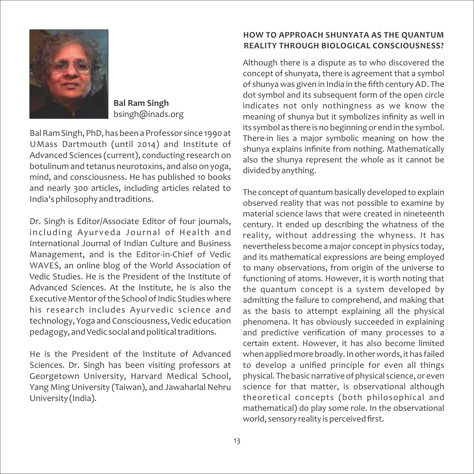

**Bal Ram Singh** bsingh@inads.org

Bal Ram Singh, PhD, has been a Professor since 1990 at UMass Dartmouth (until 2014) and Institute of Advanced Sciences (current), conducting research on botulinum and tetanus neurotoxins, and also on yoga, mind, and consciousness. He has published 10 books and nearly 300 articles, including articles related to India's philosophy and traditions.

Dr. Singh is Editor/Associate Editor of four journals, including Ayurveda Journal of Health and International Journal of Indian Culture and Business Management, and is the Editor‐in‐Chief of Vedic WAVES, an online blog of the World Association of Vedic Studies. He is the President of the Institute of Advanced Sciences. At the Institute, he is also the Executive Mentor of the School of Indic Studies where his research includes Ayurvedic science and technology, Yoga and Consciousness, Vedic education pedagogy, and Vedic social and political traditions.

He is the President of the Institute of Advanced Sciences. Dr. Singh has been visiting professors at Georgetown University, Harvard Medical School, Yang Ming University (Taiwan), and Jawaharlal Nehru University (India).

#### **HOW TO APPROACH SHUNYATA AS THE QUANTUM REALITY THROUGH BIOLOGICAL CONSCIOUSNESS?**

Although there is a dispute as to who discovered the concept of shunyata, there is agreement that a symbol of shunya was given in India in the fifth century AD. The dot symbol and its subsequent form of the open circle indicates not only nothingness as we know the meaning of shunya but it symbolizes infinity as well in its symbol as there is no beginning or end in the symbol. There-in lies a major symbolic meaning on how the shunya explains infinite from nothing. Mathematically also the shunya represent the whole as it cannot be divided by anything.

The concept of quantum basically developed to explain observed reality that was not possible to examine by material science laws that were created in nineteenth century. It ended up describing the whatness of the reality, without addressing the whyness. It has nevertheless become a major concept in physics today, and its mathematical expressions are being employed to many observations, from origin of the universe to functioning of atoms. However, it is worth noting that the quantum concept is a system developed by admitting the failure to comprehend, and making that as the basis to attempt explaining all the physical phenomena. It has obviously succeeded in explaining and predictive verification of many processes to a certain extent. However, it has also become limited when applied more broadly. In other words, it has failed to develop a unified principle for even all things physical. The basic narrative of physical science, or even science for that matter, is observational although theoretical concepts (both philosophical and mathematical) do play some role. In the observational world, sensory reality is perceived first.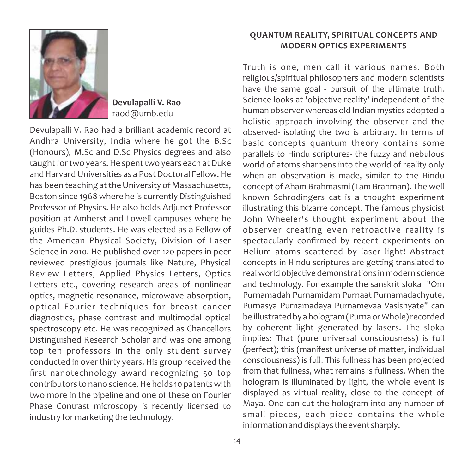

**Devulapalli V. Rao** raod@umb.edu

Devulapalli V. Rao had a brilliant academic record at Andhra University, India where he got the B.Sc (Honours), M.Sc and D.Sc Physics degrees and also taught for two years. He spent two years each at Duke and Harvard Universities as a Post Doctoral Fellow. He has been teaching at the University of Massachusetts, Boston since 1968 where he is currently Distinguished Professor of Physics. He also holds Adjunct Professor position at Amherst and Lowell campuses where he guides Ph.D. students. He was elected as a Fellow of the American Physical Society, Division of Laser Science in 2010. He published over 120 papers in peer reviewed prestigious journals like Nature, Physical Review Letters, Applied Physics Letters, Optics Letters etc., covering research areas of nonlinear optics, magnetic resonance, microwave absorption, optical Fourier techniques for breast cancer diagnostics, phase contrast and multimodal optical spectroscopy etc. He was recognized as Chancellors Distinguished Research Scholar and was one among top ten professors in the only student survey conducted in over thirty years. His group received the first nanotechnology award recognizing 50 top contributors to nano science. He holds 10 patents with two more in the pipeline and one of these on Fourier Phase Contrast microscopy is recently licensed to industry for marketing the technology.

#### **QUANTUM REALITY, SPIRITUAL CONCEPTS AND MODERN OPTICS EXPERIMENTS**

Truth is one, men call it various names. Both religious/spiritual philosophers and modern scientists have the same goal - pursuit of the ultimate truth. Science looks at 'objective reality' independent of the human observer whereas old Indian mystics adopted a holistic approach involving the observer and the observed‐ isolating the two is arbitrary. In terms of basic concepts quantum theory contains some parallels to Hindu scriptures‐ the fuzzy and nebulous world of atoms sharpens into the world of reality only when an observation is made, similar to the Hindu concept of Aham Brahmasmi (I am Brahman). The well known Schrodingers cat is a thought experiment illustrating this bizarre concept. The famous physicist John Wheeler's thought experiment about the observer creating even retroactive reality is spectacularly confirmed by recent experiments on Helium atoms scattered by laser light! Abstract concepts in Hindu scriptures are getting translated to real world objective demonstrations in modern science and technology. For example the sanskrit sloka "Om Purnamadah Purnamidam Purnaat Purnamadachyute, Purnasya Purnamadaya Purnamevaa Vasishyate" can be illustrated by a hologram (Purna or Whole) recorded by coherent light generated by lasers. The sloka implies: That (pure universal consciousness) is full (perfect); this (manifest universe of matter, individual consciousness) is full. This fullness has been projected from that fullness, what remains is fullness. When the hologram is illuminated by light, the whole event is displayed as virtual reality, close to the concept of Maya. One can cut the hologram into any number of small pieces, each piece contains the whole information and displays the event sharply.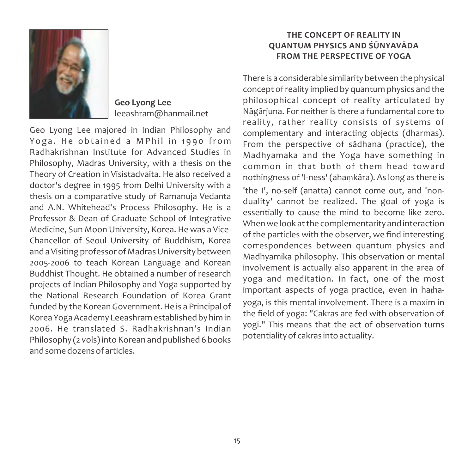

**Geo Lyong Lee** leeashram@hanmail.net

Geo Lyong Lee majored in Indian Philosophy and Yoga. He obtained a M P hil in 1990 from Radhakrishnan Institute for Advanced Studies in Philosophy, Madras University, with a thesis on the Theory of Creation in Visistadvaita. He also received a doctor's degree in 1995 from Delhi University with a thesis on a comparative study of Ramanuja Vedanta and A.N. Whitehead's Process Philosophy. He is a Professor & Dean of Graduate School of Integrative Medicine, Sun Moon University, Korea. He was a Vice‐ Chancellor of Seoul University of Buddhism, Korea and a Visiting professor of Madras University between 2005‐2006 to teach Korean Language and Korean Buddhist Thought. He obtained a number of research projects of Indian Philosophy and Yoga supported by the National Research Foundation of Korea Grant funded by the Korean Government. He is a Principal of Korea Yoga Academy Leeashram established by him in 2006. He translated S. Radhakrishnan's Indian Philosophy (2 vols) into Korean and published 6 books and some dozens of articles.

#### **THE CONCEPT OF REALITY IN QUANTUM PHYSICS AND ŚŪNYAVĀDA FROM THE PERSPECTIVE OF YOGA**

There is a considerable similarity between the physical concept of reality implied by quantum physics and the philosophical concept of reality articulated by Nāgārjuna. For neither is there a fundamental core to reality, rather reality consists of systems of complementary and interacting objects (dharmas). From the perspective of sādhana (practice), the Madhyamaka and the Yoga have something in common in that both of them head toward nothingness of 'I-ness' (ahamkāra). As long as there is 'the I', no-self (anatta) cannot come out, and 'nonduality' cannot be realized. The goal of yoga is essentially to cause the mind to become like zero. When we look at the complementarity and interaction of the particles with the observer, we find interesting correspondences between quantum physics and Madhyamika philosophy. This observation or mental involvement is actually also apparent in the area of yoga and meditation. In fact, one of the most important aspects of yoga practice, even in hathayoga, is this mental involvement. There is a maxim in the field of yoga: "Cakras are fed with observation of yogi." This means that the act of observation turns potentiality of cakras into actuality.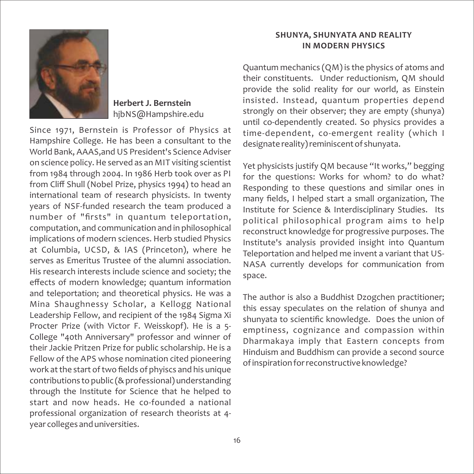

#### **Herbert J. Bernstein**  hjbNS@Hampshire.edu

Since 1971, Bernstein is Professor of Physics at Hampshire College. He has been a consultant to the World Bank, AAAS,and US President's Science Adviser on science policy. He served as an MIT visiting scientist from 1984 through 2004. In 1986 Herb took over as PI from Cliff Shull (Nobel Prize, physics 1994) to head an international team of research physicists. In twenty years of NSF‐funded research the team produced a number of "firsts" in quantum teleportation, computation, and communication and in philosophical implications of modern sciences. Herb studied Physics at Columbia, UCSD, & IAS (Princeton), where he serves as Emeritus Trustee of the alumni association. His research interests include science and society; the effects of modern knowledge; quantum information and teleportation; and theoretical physics. He was a Mina Shaughnessy Scholar, a Kellogg National Leadership Fellow, and recipient of the 1984 Sigma Xi Procter Prize (with Victor F. Weisskopf). He is a 5‐ College "40th Anniversary" professor and winner of their Jackie Pritzen Prize for public scholarship. He is a Fellow of the APS whose nomination cited pioneering work at the start of two fields of phyiscs and his unique contributions to public (& professional) understanding through the Institute for Science that he helped to start and now heads. He co-founded a national professional organization of research theorists at 4‐ year colleges and universities.

#### **SHUNYA, SHUNYATA AND REALITY IN MODERN PHYSICS**

Quantum mechanics (QM) is the physics of atoms and their constituents. Under reductionism, QM should provide the solid reality for our world, as Einstein insisted. Instead, quantum properties depend strongly on their observer; they are empty (shunya) until co‐dependently created. So physics provides a time-dependent, co-emergent reality (which I designate reality) reminiscent of shunyata.

Yet physicists justify QM because "It works," begging for the questions: Works for whom? to do what? Responding to these questions and similar ones in many fields, I helped start a small organization, The Institute for Science & Interdisciplinary Studies. Its political philosophical program aims to help reconstruct knowledge for progressive purposes. The Institute's analysis provided insight into Quantum Teleportation and helped me invent a variant that US‐ NASA currently develops for communication from space.

The author is also a Buddhist Dzogchen practitioner; this essay speculates on the relation of shunya and shunyata to scientific knowledge. Does the union of emptiness, cognizance and compassion within Dharmakaya imply that Eastern concepts from Hinduism and Buddhism can provide a second source of inspiration for reconstructive knowledge?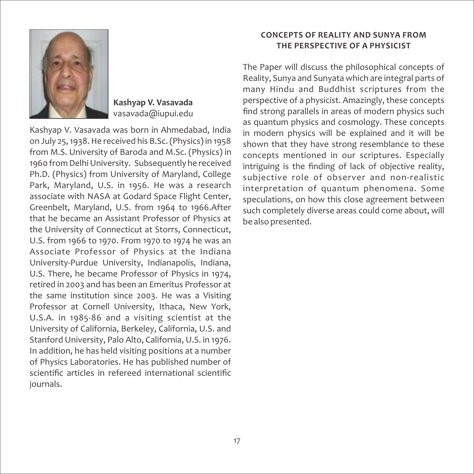

**Kashyap V. Vasavada** vasavada@iupui.edu

Kashyap V. Vasavada was born in Ahmedabad, India on July 25, 1938. He received his B.Sc. (Physics) in 1958 from M.S. University of Baroda and M.Sc. (Physics) in 1960 from Delhi University. Subsequently he received Ph.D. (Physics) from University of Maryland, College Park, Maryland, U.S. in 1956. He was a research associate with NASA at Godard Space Flight Center, Greenbelt, Maryland, U.S. from 1964 to 1966.After that he became an Assistant Professor of Physics at the University of Connecticut at Storrs, Connecticut, U.S. from 1966 to 1970. From 1970 to 1974 he was an Associate Professor of Physics at the Indiana University‐Purdue University, Indianapolis, Indiana, U.S. There, he became Professor of Physics in 1974, retired in 2003 and has been an Emeritus Professor at the same institution since 2003. He was a Visiting Professor at Cornell University, Ithaca, New York, U.S.A. in 1985‐86 and a visiting scientist at the University of California, Berkeley, California, U.S. and Stanford University, Palo Alto, California, U.S. in 1976. In addition, he has held visiting positions at a number of Physics Laboratories. He has published number of scientific articles in refereed international scientific journals.

#### **CONCEPTS OF REALITY AND SUNYA FROM THE PERSPECTIVE OF A PHYSICIST**

The Paper will discuss the philosophical concepts of Reality, Sunya and Sunyata which are integral parts of many Hindu and Buddhist scriptures from the perspective of a physicist. Amazingly, these concepts find strong parallels in areas of modern physics such as quantum physics and cosmology. These concepts in modern physics will be explained and it will be shown that they have strong resemblance to these concepts mentioned in our scriptures. Especially intriguing is the finding of lack of objective reality, subjective role of observer and non-realistic interpretation of quantum phenomena. Some speculations, on how this close agreement between such completely diverse areas could come about, will be also presented.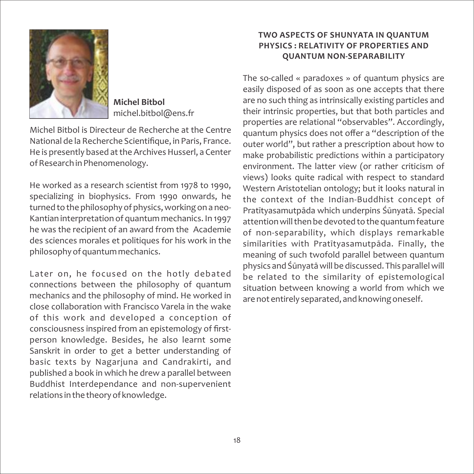

**Michel Bitbol** michel.bitbol@ens.fr

Michel Bitbol is Directeur de Recherche at the Centre National de la Recherche Scientifique, in Paris, France. He is presently based at the Archives Husserl, a Center of Research in Phenomenology.

He worked as a research scientist from 1978 to 1990, specializing in biophysics. From 1990 onwards, he turned to the philosophy of physics, working on a neo‐ Kantian interpretation of quantum mechanics. In 1997 he was the recipient of an award from the Academie des sciences morales et politiques for his work in the philosophy of quantum mechanics.

Later on, he focused on the hotly debated connections between the philosophy of quantum mechanics and the philosophy of mind. He worked in close collaboration with Francisco Varela in the wake of this work and developed a conception of consciousness inspired from an epistemology of first‐ person knowledge. Besides, he also learnt some Sanskrit in order to get a better understanding of basic texts by Nagarjuna and Candrakirti, and published a book in which he drew a parallel between Buddhist Interdependance and non‐supervenient relations in the theory of knowledge.

#### **TWO ASPECTS OF SHUNYATA IN QUANTUM PHYSICS : RELATIVITY OF PROPERTIES AND QUANTUM NON‐SEPARABILITY**

The so-called « paradoxes » of quantum physics are easily disposed of as soon as one accepts that there are no such thing as intrinsically existing particles and their intrinsic properties, but that both particles and properties are relational "observables". Accordingly, quantum physics does not offer a "description of the outer world", but rather a prescription about how to make probabilistic predictions within a participatory environment. The latter view (or rather criticism of views) looks quite radical with respect to standard Western Aristotelian ontology; but it looks natural in the context of the Indian‐Buddhist concept of Pratītyasamutpāda which underpins Śūnyatā. Special attention will then be devoted to the quantum feature of non‐separability, which displays remarkable similarities with Pratītyasamutpāda. Finally, the meaning of such twofold parallel between quantum physics and Śūnyatāwill be discussed. This parallel will be related to the similarity of epistemological situation between knowing a world from which we are not entirely separated, and knowing oneself.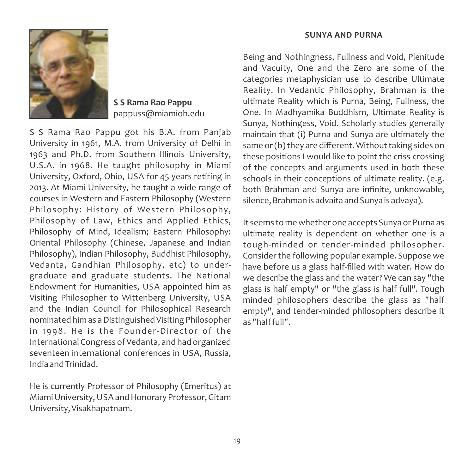#### **SUNYA AND PURNA**



**S S Rama Rao Pappu** pappuss@miamioh.edu

S S Rama Rao Pappu got his B.A. from Panjab University in 1961, M.A. from University of Delhi in 1963 and Ph.D. from Southern Illinois University, U.S.A. in 1968. He taught philosophy in Miami University, Oxford, Ohio, USA for 45 years retiring in 2013. At Miami University, he taught a wide range of courses in Western and Eastern Philosophy (Western Philosophy: History of Western Philosophy, Philosophy of Law, Ethics and Applied Ethics, Philosophy of Mind, Idealism; Eastern Philosophy: Oriental Philosophy (Chinese, Japanese and Indian Philosophy), Indian Philosophy, Buddhist Philosophy, Vedanta, Gandhian Philosophy, etc) to under‐ graduate and graduate students. The National Endowment for Humanities, USA appointed him as Visiting Philosopher to Wittenberg University, USA and the Indian Council for Philosophical Research nominated him as a Distinguished Visiting Philosopher in 1998. He is the Founder‐Director of the International Congress of Vedanta, and had organized seventeen international conferences in USA, Russia, India and Trinidad.

He is currently Professor of Philosophy (Emeritus) at Miami University, USA and Honorary Professor, Gitam University, Visakhapatnam.

Being and Nothingness, Fullness and Void, Plenitude and Vacuity, One and the Zero are some of the categories metaphysician use to describe Ultimate Reality. In Vedantic Philosophy, Brahman is the ultimate Reality which is Purna, Being, Fullness, the One. In Madhyamika Buddhism, Ultimate Reality is Sunya, Nothingess, Void. Scholarly studies generally maintain that (i) Purna and Sunya are ultimately the same or (b) they are different. Without taking sides on these positions I would like to point the criss‐crossing of the concepts and arguments used in both these schools in their conceptions of ultimate reality. (e.g. both Brahman and Sunya are infinite, unknowable, silence, Brahman is advaita and Sunya is advaya).

It seems to me whether one accepts Sunya or Purna as ultimate reality is dependent on whether one is a tough‐minded or tender‐minded philosopher. Consider the following popular example. Suppose we have before us a glass half-filled with water. How do we describe the glass and the water? We can say "the glass is half empty" or "the glass is half full". Tough minded philosophers describe the glass as "half empty", and tender‐minded philosophers describe it as "half full".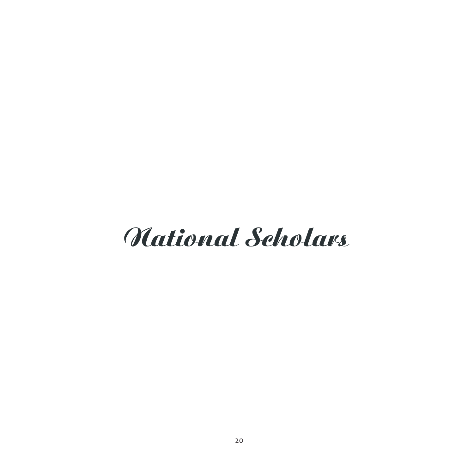# Mational Scholars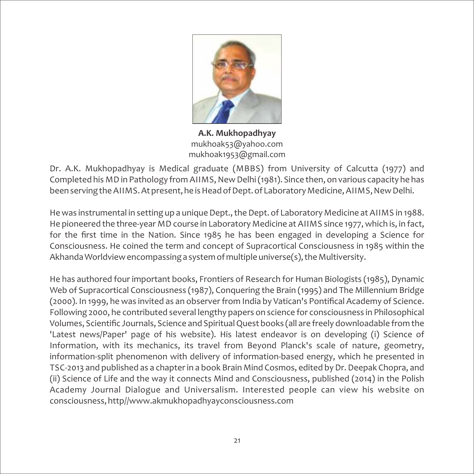

**A.K. Mukhopadhyay** mukhoak53@yahoo.com mukhoak1953@gmail.com

Dr. A.K. Mukhopadhyay is Medical graduate (MBBS) from University of Calcutta (1977) and Completed his MD in Pathology from AIIMS, New Delhi (1981). Since then, on various capacity he has been serving the AIIMS. At present, he is Head of Dept. of Laboratory Medicine, AIIMS, New Delhi.

He was instrumental in setting up a unique Dept., the Dept. of Laboratory Medicine at AIIMS in 1988. He pioneered the three-year MD course in Laboratory Medicine at AIIMS since 1977, which is, in fact, for the first time in the Nation. Since 1985 he has been engaged in developing a Science for Consciousness. He coined the term and concept of Supracortical Consciousness in 1985 within the Akhanda Worldview encompassing a system of multiple universe(s), the Multiversity.

He has authored four important books, Frontiers of Research for Human Biologists (1985), Dynamic Web of Supracortical Consciousness (1987), Conquering the Brain (1995) and The Millennium Bridge (2000). In 1999, he was invited as an observer from India by Vatican's Pontifical Academy of Science. Following 2000, he contributed several lengthy papers on science for consciousness in Philosophical Volumes, Scientific Journals, Science and Spiritual Quest books (all are freely downloadable from the 'Latest news/Paper' page of his website). His latest endeavor is on developing (i) Science of Information, with its mechanics, its travel from Beyond Planck's scale of nature, geometry, information‐split phenomenon with delivery of information‐based energy, which he presented in TSC‐2013 and published as a chapter in a book Brain Mind Cosmos, edited by Dr. Deepak Chopra, and (ii) Science of Life and the way it connects Mind and Consciousness, published (2014) in the Polish Academy Journal Dialogue and Universalism. Interested people can view his website on consciousness, http//www.akmukhopadhyayconsciousness.com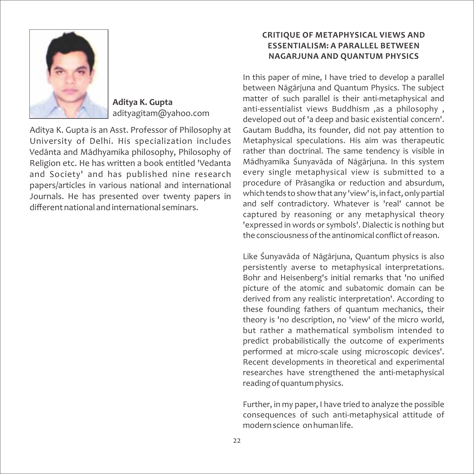

**Aditya K. Gupta** adityagitam@yahoo.com

Aditya K. Gupta is an Asst. Professor of Philosophy at University of Delhi. His specialization includes Vedānta and Mādhyamika philosophy, Philosophy of Religion etc. He has written a book entitled 'Vedanta and Society' and has published nine research papers/articles in various national and international Journals. He has presented over twenty papers in different national and international seminars.

#### **CRITIQUE OF METAPHYSICAL VIEWS AND ESSENTIALISM: A PARALLEL BETWEEN NAGARJUNA AND QUANTUM PHYSICS**

In this paper of mine, I have tried to develop a parallel between Nāgārjuna and Quantum Physics. The subject matter of such parallel is their anti-metaphysical and anti‐essentialist views Buddhism ,as a philosophy , developed out of 'a deep and basic existential concern'. Gautam Buddha, its founder, did not pay attention to Metaphysical speculations. His aim was therapeutic rather than doctrinal. The same tendency is visible in Mādhyamika Śunyavāda of Nāgārjuna. In this system every single metaphysical view is submitted to a procedure of Prāsangika or reduction and absurdum, which tends to show that any 'view' is, in fact, only partial and self contradictory. Whatever is 'real' cannot be captured by reasoning or any metaphysical theory 'expressed in words or symbols'. Dialectic is nothing but the consciousness of the antinomical conflict of reason.

Like Śunyavāda of Nāgārjuna, Quantum physics is also persistently averse to metaphysical interpretations. Bohr and Heisenberg's initial remarks that 'no unified picture of the atomic and subatomic domain can be derived from any realistic interpretation'. According to these founding fathers of quantum mechanics, their theory is 'no description, no 'view' of the micro world, but rather a mathematical symbolism intended to predict probabilistically the outcome of experiments performed at micro-scale using microscopic devices'. Recent developments in theoretical and experimental researches have strengthened the anti-metaphysical reading of quantum physics.

Further, in my paper, I have tried to analyze the possible consequences of such anti‐metaphysical attitude of modern science on human life.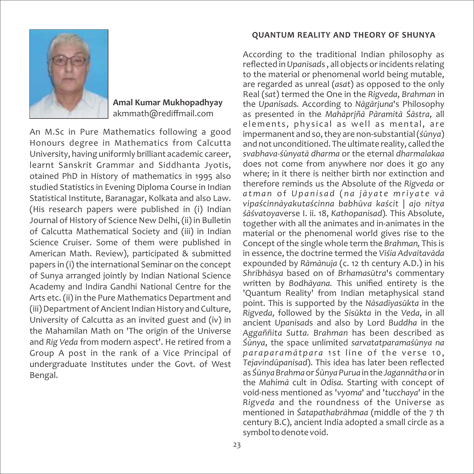

**Amal Kumar Mukhopadhyay** akmmath@rediffmail.com

An M.Sc in Pure Mathematics following a good Honours degree in Mathematics from Calcutta University, having uniformly brilliant academic career, learnt Sanskrit Grammar and Siddhanta Jyotis, otained PhD in History of mathematics in 1995 also studied Statistics in Evening Diploma Course in Indian Statistical Institute, Baranagar, Kolkata and also Law. (His research papers were published in (i) Indian Journal of History of Science New Delhi, (ii) in Bulletin of Calcutta Mathematical Society and (iii) in Indian Science Cruiser. Some of them were published in American Math. Review), participated & submitted papers in (i) the international Seminar on the concept of Sunya arranged jointly by Indian National Science Academy and Indira Gandhi National Centre for the Arts etc. (ii) in the Pure Mathematics Department and (iii) Department of Ancient Indian History and Culture, University of Calcutta as an invited guest and (iv) in the Mahamilan Math on 'The origin of the Universe and *Rig Veda* from modern aspect'. He retired from a Group A post in the rank of a Vice Principal of undergraduate Institutes under the Govt. of West Bengal.

#### **QUANTUM REALITY AND THEORY OF SHUNYA**

According to the traditional Indian philosophy as reflected in *Upanisad*s , all objects or incidents relating to the material or phenomenal world being mutable, are regarded as unreal (*asat*) as opposed to the only Real (*sat*) termed the One in the *Rigveda*, *Brahman* in the *Upanisad*s*.* According to *Nāgārjuna*'s Philosophy as presented in the *Mahāprjñā Pāramitā Śāstra*, all elements, physical as well as mental, are impermanent and so, they are non‐substantial (*śūnya*) and not unconditioned. The ultimate reality, called the *svabhava‐śūnyatā dharma* or the eternal *dharmalakaa* does not come from anywhere nor does it go any where; in it there is neither birth nor extinction and therefore reminds us the Absolute of the *Rigveda* or atman of Upanisad (na jāyate mriyate vā *vipaścinnāyakutaścinna babhūva kaścit* | *ajo nitya śāśvatoya*verse I. ii. 18, *Kathopanisad*)*.* This Absolute, together with all the animates and in‐animates in the material or the phenomenal world gives rise to the Concept of the single whole term the *Brahman,* This is in essence, the doctrine termed the *Viśia Advaitavāda*  expounded by *Rāmānuja* (c. 12 th century A.D.) in his *Shrībhāsya* based on of *Brhamasūtra*'s commentary written by *Bodhāyana.* This unified entirety is the 'Quantum Reality' from Indian metaphysical stand point. This is supported by the *Nāsadīyasūkta* in the *Rigveda*, followed by the *Sisūkta* in the *Veda*, in all ancient *Upanisad*s and also by Lord *Buddha* in the *Aggaññita Sutta. Brahman* has been described as *Śūnya*, the space unlimited *sarvatatparamaśūnya na*  paraparamātpara 1st line of the verse 10, *Tejavindūpanisad*). This idea has later been reflected as *Śūnya Brahma* or *Śūnya Purua* in the *Jagannātha* or in the *Mahimā* cult in *Odisa.* Starting with concept of void‐ness mentioned as '*vyoma*' and '*tucchaya*' in the *Rigveda* and the roundness of the Universe as mentioned in *Śatapathabrāhmaa* (middle of the 7 th century B.C), ancient India adopted a small circle as a symbol to denote void.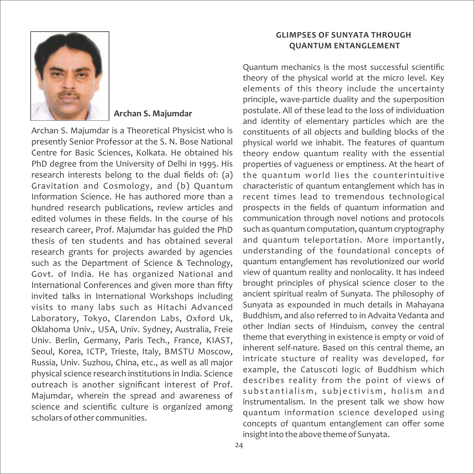

#### **Archan S. Majumdar**

Archan S. Majumdar is a Theoretical Physicist who is presently Senior Professor at the S. N. Bose National Centre for Basic Sciences, Kolkata. He obtained his PhD degree from the University of Delhi in 1995. His research interests belong to the dual fields of: (a) Gravitation and Cosmology, and (b) Quantum Information Science. He has authored more than a hundred research publications, review articles and edited volumes in these fields. In the course of his research career, Prof. Majumdar has guided the PhD thesis of ten students and has obtained several research grants for projects awarded by agencies such as the Department of Science & Technology, Govt. of India. He has organized National and International Conferences and given more than fifty invited talks in International Workshops including visits to many labs such as Hitachi Advanced Laboratory, Tokyo, Clarendon Labs, Oxford Uk, Oklahoma Univ., USA, Univ. Sydney, Australia, Freie Univ. Berlin, Germany, Paris Tech., France, KIAST, Seoul, Korea, ICTP, Trieste, Italy, BMSTU Moscow, Russia, Univ. Suzhou, China, etc., as well as all major physical science research institutions in India. Science outreach is another significant interest of Prof. Majumdar, wherein the spread and awareness of science and scientific culture is organized among scholars of other communities.

#### **GLIMPSES OF SUNYATA THROUGH QUANTUM ENTANGLEMENT**

Quantum mechanics is the most successful scientific theory of the physical world at the micro level. Key elements of this theory include the uncertainty principle, wave‐particle duality and the superposition postulate. All of these lead to the loss of individuation and identity of elementary particles which are the constituents of all objects and building blocks of the physical world we inhabit. The features of quantum theory endow quantum reality with the essential properties of vagueness or emptiness. At the heart of the quantum world lies the counterintuitive characteristic of quantum entanglement which has in recent times lead to tremendous technological prospects in the fields of quantum information and communication through novel notions and protocols such as quantum computation, quantum cryptography and quantum teleportation. More importantly, understanding of the foundational concepts of quantum entanglement has revolutionized our world view of quantum reality and nonlocality. It has indeed brought principles of physical science closer to the ancient spiritual realm of Sunyata. The philosophy of Sunyata as expounded in much details in Mahayana Buddhism, and also referred to in Advaita Vedanta and other Indian sects of Hinduism, convey the central theme that everything in existence is empty or void of inherent self‐nature. Based on this central theme, an intricate stucture of reality was developed, for example, the Catuscoti logic of Buddhism which describes reality from the point of views of substantialism, subjectivism, holism and instrumentalism. In the present talk we show how quantum information science developed using concepts of quantum entanglement can offer some insight into the above theme of Sunyata.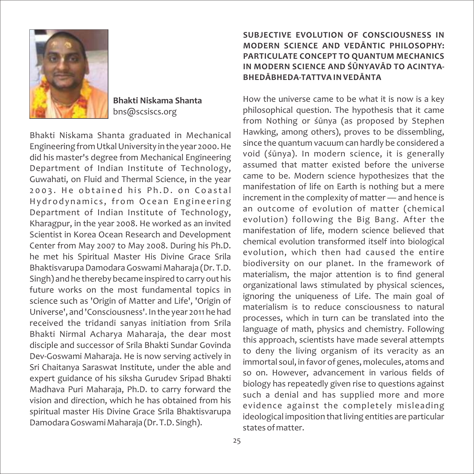

**Bhakti Niskama Shanta** bns@scsiscs.org

Bhakti Niskama Shanta graduated in Mechanical Engineering from Utkal University in the year 2000. He did his master's degree from Mechanical Engineering Department of Indian Institute of Technology, Guwahati, on Fluid and Thermal Science, in the year 2003. He obtained his Ph.D. on Coastal Hydrodynamics, from Ocean Engineering Department of Indian Institute of Technology, Kharagpur, in the year 2008. He worked as an invited Scientist in Korea Ocean Research and Development Center from May 2007 to May 2008. During his Ph.D. he met his Spiritual Master His Divine Grace Srila Bhaktisvarupa Damodara Goswami Maharaja (Dr. T.D. Singh) and he thereby became inspired to carry out his future works on the most fundamental topics in science such as 'Origin of Matter and Life', 'Origin of Universe', and 'Consciousness'. In the year 2011 he had received the tridandi sanyas initiation from Srila Bhakti Nirmal Acharya Maharaja, the dear most disciple and successor of Srila Bhakti Sundar Govinda Dev‐Goswami Maharaja. He is now serving actively in Sri Chaitanya Saraswat Institute, under the able and expert guidance of his siksha Gurudev Sripad Bhakti Madhava Puri Maharaja, Ph.D. to carry forward the vision and direction, which he has obtained from his spiritual master His Divine Grace Srila Bhaktisvarupa Damodara Goswami Maharaja (Dr. T.D. Singh).

#### **SUBJECTIVE EVOLUTION OF CONSCIOUSNESS IN MODERN SCIENCE AND VEDĀNTIC PHILOSOPHY: PARTICULATE CONCEPT TO QUANTUM MECHANICS IN MODERN SCIENCE AND ŚŪNYAVĀD TO ACINTYA‐ BHEDĀBHEDA‐TATTVA IN VEDĀNTA**

How the universe came to be what it is now is a key philosophical question. The hypothesis that it came from Nothing or śūnya (as proposed by Stephen Hawking, among others), proves to be dissembling, since the quantum vacuum can hardly be considered a void (śūnya). In modern science, it is generally assumed that matter existed before the universe came to be. Modern science hypothesizes that the manifestation of life on Earth is nothing but a mere increment in the complexity of matter — and hence is an outcome of evolution of matter (chemical evolution) following the Big Bang. After the manifestation of life, modern science believed that chemical evolution transformed itself into biological evolution, which then had caused the entire biodiversity on our planet. In the framework of materialism, the major attention is to find general organizational laws stimulated by physical sciences, ignoring the uniqueness of Life. The main goal of materialism is to reduce consciousness to natural processes, which in turn can be translated into the language of math, physics and chemistry. Following this approach, scientists have made several attempts to deny the living organism of its veracity as an immortal soul, in favor of genes, molecules, atoms and so on. However, advancement in various fields of biology has repeatedly given rise to questions against such a denial and has supplied more and more evidence against the completely misleading ideological imposition that living entities are particular states of matter.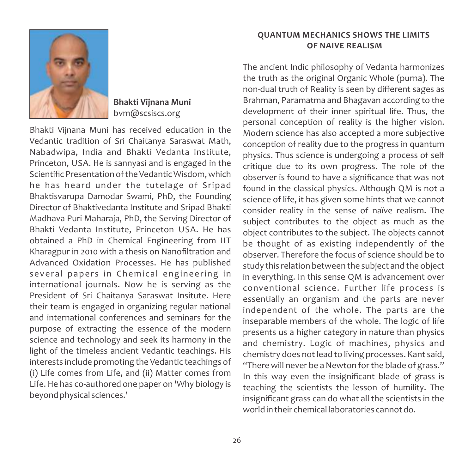

#### **Bhakti Vijnana Muni** bvm@scsiscs.org

Bhakti Vijnana Muni has received education in the Vedantic tradition of Sri Chaitanya Saraswat Math, Nabadwipa, India and Bhakti Vedanta Institute, Princeton, USA. He is sannyasi and is engaged in the Scientific Presentation of the Vedantic Wisdom, which he has heard under the tutelage of Sripad Bhaktisvarupa Damodar Swami, PhD, the Founding Director of Bhaktivedanta Institute and Sripad Bhakti Madhava Puri Maharaja, PhD, the Serving Director of Bhakti Vedanta Institute, Princeton USA. He has obtained a PhD in Chemical Engineering from IIT Kharagpur in 2010 with a thesis on Nanofiltration and Advanced Oxidation Processes. He has published several papers in Chemical engineering in international journals. Now he is serving as the President of Sri Chaitanya Saraswat Insitute. Here their team is engaged in organizing regular national and international conferences and seminars for the purpose of extracting the essence of the modern science and technology and seek its harmony in the light of the timeless ancient Vedantic teachings. His interests include promoting the Vedantic teachings of (i) Life comes from Life, and (ii) Matter comes from Life. He has co-authored one paper on 'Why biology is beyond physical sciences.'

#### **QUANTUM MECHANICS SHOWS THE LIMITS OF NAIVE REALISM**

The ancient Indic philosophy of Vedanta harmonizes the truth as the original Organic Whole (purna). The non‐dual truth of Reality is seen by different sages as Brahman, Paramatma and Bhagavan according to the development of their inner spiritual life. Thus, the personal conception of reality is the higher vision. Modern science has also accepted a more subjective conception of reality due to the progress in quantum physics. Thus science is undergoing a process of self critique due to its own progress. The role of the observer is found to have a significance that was not found in the classical physics. Although QM is not a science of life, it has given some hints that we cannot consider reality in the sense of naïve realism. The subject contributes to the object as much as the object contributes to the subject. The objects cannot be thought of as existing independently of the observer. Therefore the focus of science should be to study this relation between the subject and the object in everything. In this sense QM is advancement over conventional science. Further life process is essentially an organism and the parts are never independent of the whole. The parts are the inseparable members of the whole. The logic of life presents us a higher category in nature than physics and chemistry. Logic of machines, physics and chemistry does not lead to living processes. Kant said, "There will never be a Newton for the blade of grass." In this way even the insignificant blade of grass is teaching the scientists the lesson of humility. The insignificant grass can do what all the scientists in the world in their chemical laboratories cannot do.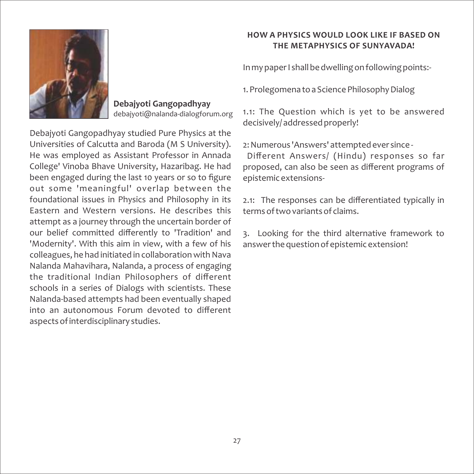

**Debajyoti Gangopadhyay**  debajyoti@nalanda‐dialogforum.org

Debajyoti Gangopadhyay studied Pure Physics at the Universities of Calcutta and Baroda (M S University). He was employed as Assistant Professor in Annada College' Vinoba Bhave University, Hazaribag. He had been engaged during the last 10 years or so to figure out some 'meaningful' overlap between the foundational issues in Physics and Philosophy in its Eastern and Western versions. He describes this attempt as a journey through the uncertain border of our belief committed differently to 'Tradition' and 'Modernity'. With this aim in view, with a few of his colleagues, he had initiated in collaboration with Nava Nalanda Mahavihara, Nalanda, a process of engaging the traditional Indian Philosophers of different schools in a series of Dialogs with scientists. These Nalanda‐based attempts had been eventually shaped into an autonomous Forum devoted to different aspects of interdisciplinary studies.

#### **HOW A PHYSICS WOULD LOOK LIKE IF BASED ON THE METAPHYSICS OF SUNYAVADA!**

In my paper I shall be dwelling on following points:‐

1. Prolegomena to a Science Philosophy Dialog

1.1: The Question which is yet to be answered decisively/ addressed properly!

2: Numerous 'Answers' attempted ever since ‐

Different Answers/ (Hindu) responses so far proposed, can also be seen as different programs of epistemic extensions‐

2.1: The responses can be differentiated typically in terms of two variants of claims.

3. Looking for the third alternative framework to answer the question of epistemic extension!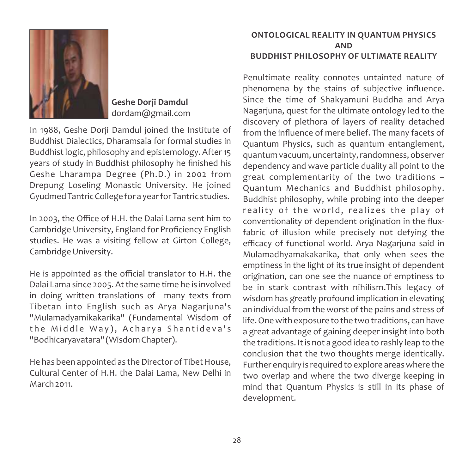

#### **Geshe Dorji Damdul** dordam@gmail.com

In 1988, Geshe Dorji Damdul joined the Institute of Buddhist Dialectics, Dharamsala for formal studies in Buddhist logic, philosophy and epistemology. After 15 years of study in Buddhist philosophy he finished his Geshe Lharampa Degree (Ph.D.) in 2002 from Drepung Loseling Monastic University. He joined Gyudmed Tantric College for a year for Tantric studies.

In 2003, the Office of H.H. the Dalai Lama sent him to Cambridge University, England for Proficiency English studies. He was a visiting fellow at Girton College, Cambridge University.

He is appointed as the official translator to H.H. the Dalai Lama since 2005. At the same time he is involved in doing written translations of many texts from Tibetan into English such as Arya Nagarjuna's "Mulamadyamikakarika" (Fundamental Wisdom of the Middle Way), Acharya Shantideva's "Bodhicaryavatara" (Wisdom Chapter).

He has been appointed as the Director of Tibet House, Cultural Center of H.H. the Dalai Lama, New Delhi in March 2011

#### **ONTOLOGICAL REALITY IN QUANTUM PHYSICS AND BUDDHIST PHILOSOPHY OF ULTIMATE REALITY**

Penultimate reality connotes untainted nature of phenomena by the stains of subjective influence. Since the time of Shakyamuni Buddha and Arya Nagarjuna, quest for the ultimate ontology led to the discovery of plethora of layers of reality detached from the influence of mere belief. The many facets of Quantum Physics, such as quantum entanglement, quantum vacuum, uncertainty, randomness, observer dependency and wave particle duality all point to the great complementarity of the two traditions – Quantum Mechanics and Buddhist philosophy. Buddhist philosophy, while probing into the deeper reality of the world, realizes the play of conventionality of dependent origination in the flux‐ fabric of illusion while precisely not defying the efficacy of functional world. Arya Nagarjuna said in Mulamadhyamakakarika, that only when sees the emptiness in the light of its true insight of dependent origination, can one see the nuance of emptiness to be in stark contrast with nihilism.This legacy of wisdom has greatly profound implication in elevating an individual from the worst of the pains and stress of life. One with exposure to the two traditions, can have a great advantage of gaining deeper insight into both the traditions. It is not a good idea to rashly leap to the conclusion that the two thoughts merge identically. Further enquiry is required to explore areas where the two overlap and where the two diverge keeping in mind that Quantum Physics is still in its phase of development.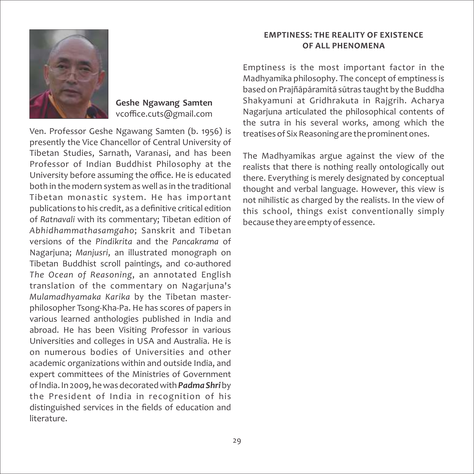

**Geshe Ngawang Samten** vcoffice.cuts@gmail.com

Ven. Professor Geshe Ngawang Samten (b. 1956) is presently the Vice Chancellor of Central University of Tibetan Studies, Sarnath, Varanasi, and has been Professor of Indian Buddhist Philosophy at the University before assuming the office. He is educated both in the modern system as well as in the traditional Tibetan monastic system. He has important publications to his credit, as a definitive critical edition of *Ratnavali* with its commentary; Tibetan edition of *Abhidhammathasamgaho*; Sanskrit and Tibetan versions of the *Pindikrita* and the *Pancakrama* of Nagarjuna; *Manjusri*, an illustrated monograph on Tibetan Buddhist scroll paintings, and co-authored *The Ocean of Reasoning*, an annotated English translation of the commentary on Nagarjuna's *Mulamadhyamaka Karika* by the Tibetan master‐ philosopher Tsong‐Kha‐Pa. He has scores of papers in various learned anthologies published in India and abroad. He has been Visiting Professor in various Universities and colleges in USA and Australia. He is on numerous bodies of Universities and other academic organizations within and outside India, and expert committees of the Ministries of Government of India. In 2009, he was decorated with *Padma Shri*by the President of India in recognition of his distinguished services in the fields of education and literature.

#### **EMPTINESS: THE REALITY OF EXISTENCE OF ALL PHENOMENA**

Emptiness is the most important factor in the Madhyamika philosophy. The concept of emptiness is based on Prajñāpāramitā sūtras taught by the Buddha Shakyamuni at Gridhrakuta in Rajgrih. Acharya Nagarjuna articulated the philosophical contents of the sutra in his several works, among which the treatises of Six Reasoning are the prominent ones.

The Madhyamikas argue against the view of the realists that there is nothing really ontologically out there. Everything is merely designated by conceptual thought and verbal language. However, this view is not nihilistic as charged by the realists. In the view of this school, things exist conventionally simply because they are empty of essence.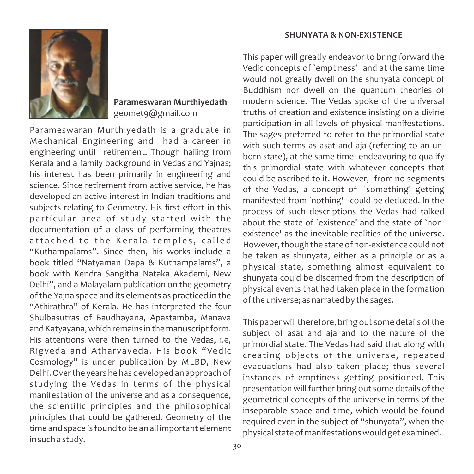### **Parameswaran Murthiyedath** geomet9@gmail.com

Parameswaran Murthiyedath is a graduate in Mechanical Engineering and had a career in engineering until retirement. Though hailing from Kerala and a family background in Vedas and Yajnas; his interest has been primarily in engineering and science. Since retirement from active service, he has developed an active interest in Indian traditions and subjects relating to Geometry. His first effort in this particular area of study started with the documentation of a class of performing theatres attached to the Kerala temples, called "Kuthampalams". Since then, his works include a book titled "Natyaman Dapa & Kuthampalams", a book with Kendra Sangitha Nataka Akademi, New Delhi", and a Malayalam publication on the geometry of the Yajna space and its elements as practiced in the "Athirathra" of Kerala. He has interpreted the four Shulbasutras of Baudhayana, Apastamba, Manava and Katyayana, which remains in the manuscript form. His attentions were then turned to the Vedas, i.e, Rigveda and Atharvaveda. His book "Vedic Cosmology" is under publication by MLBD, New Delhi. Over the years he has developed an approach of studying the Vedas in terms of the physical manifestation of the universe and as a consequence, the scientific principles and the philosophical principles that could be gathered. Geometry of the time and space is found to be an all important element in such a study.

#### **SHUNYATA & NON‐EXISTENCE**

This paper will greatly endeavor to bring forward the Vedic concepts of `emptiness' and at the same time would not greatly dwell on the shunyata concept of Buddhism nor dwell on the quantum theories of modern science. The Vedas spoke of the universal truths of creation and existence insisting on a divine participation in all levels of physical manifestations. The sages preferred to refer to the primordial state with such terms as asat and aja (referring to an unborn state), at the same time endeavoring to qualify this primordial state with whatever concepts that could be ascribed to it. However, from no segments of the Vedas, a concept of ‐`something' getting manifested from `nothing' ‐ could be deduced. In the process of such descriptions the Vedas had talked about the state of `existence' and the state of `non‐ existence' as the inevitable realities of the universe. However, though the state of non‐existence could not be taken as shunyata, either as a principle or as a physical state, something almost equivalent to shunyata could be discerned from the description of physical events that had taken place in the formation of the universe; as narrated by the sages.

This paper will therefore, bring out some details of the subject of asat and aja and to the nature of the primordial state. The Vedas had said that along with creating objects of the universe, repeated evacuations had also taken place; thus several instances of emptiness getting positioned. This presentation will further bring out some details of the geometrical concepts of the universe in terms of the inseparable space and time, which would be found required even in the subject of "shunyata", when the physical state of manifestations would get examined.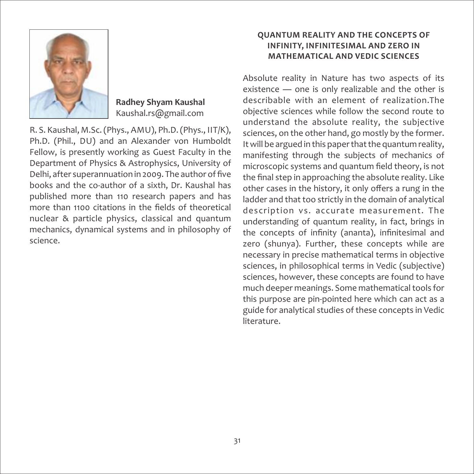

**Radhey Shyam Kaushal** Kaushal.rs@gmail.com

R. S. Kaushal, M.Sc. (Phys., AMU), Ph.D. (Phys., IIT/K), Ph.D. (Phil., DU) and an Alexander von Humboldt Fellow, is presently working as Guest Faculty in the Department of Physics & Astrophysics, University of Delhi, after superannuation in 2009. The author of five books and the co‐author of a sixth, Dr. Kaushal has published more than 110 research papers and has more than 1100 citations in the fields of theoretical nuclear & particle physics, classical and quantum mechanics, dynamical systems and in philosophy of science.

#### **QUANTUM REALITY AND THE CONCEPTS OF INFINITY, INFINITESIMAL AND ZERO IN MATHEMATICAL AND VEDIC SCIENCES**

Absolute reality in Nature has two aspects of its existence — one is only realizable and the other is describable with an element of realization.The objective sciences while follow the second route to understand the absolute reality, the subjective sciences, on the other hand, go mostly by the former. It will be argued in this paper that the quantum reality, manifesting through the subjects of mechanics of microscopic systems and quantum field theory, is not the final step in approaching the absolute reality. Like other cases in the history, it only offers a rung in the ladder and that too strictly in the domain of analytical description vs. accurate measurement. The understanding of quantum reality, in fact, brings in the concepts of infinity (ananta), infinitesimal and zero (shunya). Further, these concepts while are necessary in precise mathematical terms in objective sciences, in philosophical terms in Vedic (subjective) sciences, however, these concepts are found to have much deeper meanings. Some mathematical tools for this purpose are pin‐pointed here which can act as a guide for analytical studies of these concepts in Vedic literature.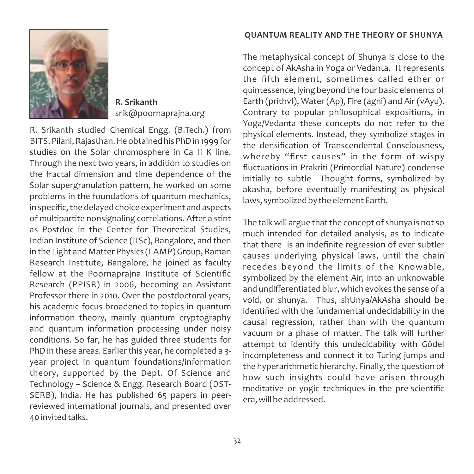#### **QUANTUM REALITY AND THE THEORY OF SHUNYA**



**R. Srikanth** srik@poornaprajna.org

R. Srikanth studied Chemical Engg. (B.Tech.) from BITS, Pilani, Rajasthan. He obtained his PhD in 1999 for studies on the Solar chromosphere in Ca II K line. Through the next two years, in addition to studies on the fractal dimension and time dependence of the Solar supergranulation pattern, he worked on some problems in the foundations of quantum mechanics, in specific, the delayed choice experiment and aspects of multipartite nonsignaling correlations. After a stint as Postdoc in the Center for Theoretical Studies, Indian Institute of Science (IISc), Bangalore, and then in the Light and Matter Physics (LAMP) Group, Raman Research Institute, Bangalore, he joined as faculty fellow at the Poornaprajna Institute of Scientific Research (PPISR) in 2006, becoming an Assistant Professor there in 2010. Over the postdoctoral years, his academic focus broadened to topics in quantum information theory, mainly quantum cryptography and quantum information processing under noisy conditions. So far, he has guided three students for PhD in these areas. Earlier this year, he completed a 3‐ year project in quantum foundations/information theory, supported by the Dept. Of Science and Technology – Science & Engg. Research Board (DST‐ SERB), India. He has published 65 papers in peerreviewed international journals, and presented over 40 invited talks.

The metaphysical concept of Shunya is close to the concept of AkAsha in Yoga or Vedanta. It represents the fifth element, sometimes called ether or quintessence, lying beyond the four basic elements of Earth (prithvI), Water (Ap), Fire (agni) and Air (vAyu). Contrary to popular philosophical expositions, in Yoga/Vedanta these concepts do not refer to the physical elements. Instead, they symbolize stages in the densification of Transcendental Consciousness, whereby "first causes" in the form of wispy fluctuations in Prakriti (Primordial Nature) condense initially to subtle Thought forms, symbolized by akasha, before eventually manifesting as physical laws, symbolized by the element Earth.

The talk will argue that the concept of shunya is not so much intended for detailed analysis, as to indicate that there is an indefinite regression of ever subtler causes underlying physical laws, until the chain recedes beyond the limits of the Knowable, symbolized by the element Air, into an unknowable and undifferentiated blur, which evokes the sense of a void, or shunya. Thus, shUnya/AkAsha should be identified with the fundamental undecidability in the causal regression, rather than with the quantum vacuum or a phase of matter. The talk will further attempt to identify this undecidability with Gödel incompleteness and connect it to Turing jumps and the hyperarithmetic hierarchy. Finally, the question of how such insights could have arisen through meditative or yogic techniques in the pre‐scientific era, will be addressed.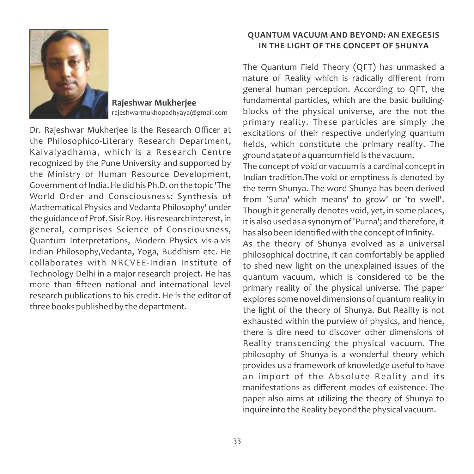

**Rajeshwar Mukherjee** rajeshwarmukhopadhyaya@gmail.com

Dr. Rajeshwar Mukherjee is the Research Officer at the Philosophico‐Literary Research Department, Kaivalyadhama, which is a Research Centre recognized by the Pune University and supported by the Ministry of Human Resource Development, Government of India. He did his Ph.D. on the topic 'The World Order and Consciousness: Synthesis of Mathematical Physics and Vedanta Philosophy' under the guidance of Prof. Sisir Roy. His research interest, in general, comprises Science of Consciousness, Quantum Interpretations, Modern Physics vis‐a‐vis Indian Philosophy,Vedanta, Yoga, Buddhism etc. He collaborates with NRCVEE‐Indian Institute of Technology Delhi in a major research project. He has more than fifteen national and international level research publications to his credit. He is the editor of three books published by the department.

#### **QUANTUM VACUUM AND BEYOND: AN EXEGESIS IN THE LIGHT OF THE CONCEPT OF SHUNYA**

The Quantum Field Theory (QFT) has unmasked a nature of Reality which is radically different from general human perception. According to QFT, the fundamental particles, which are the basic building‐ blocks of the physical universe, are the not the primary reality. These particles are simply the excitations of their respective underlying quantum fields, which constitute the primary reality. The ground state of a quantum field is the vacuum.

The concept of void or vacuum is a cardinal concept in Indian tradition.The void or emptiness is denoted by the term Shunya. The word Shunya has been derived from 'Suna' which means' to grow' or 'to swell'. Though it generally denotes void, yet, in some places, it is also used as a synonym of 'Purna'; and therefore, it has also been identified with the concept of Infinity.

As the theory of Shunya evolved as a universal philosophical doctrine, it can comfortably be applied to shed new light on the unexplained issues of the quantum vacuum, which is considered to be the primary reality of the physical universe. The paper explores some novel dimensions of quantum reality in the light of the theory of Shunya. But Reality is not exhausted within the purview of physics, and hence, there is dire need to discover other dimensions of Reality transcending the physical vacuum. The philosophy of Shunya is a wonderful theory which provides us a framework of knowledge useful to have an import of the Absolute Reality and its manifestations as different modes of existence. The paper also aims at utilizing the theory of Shunya to inquire into the Reality beyond the physical vacuum.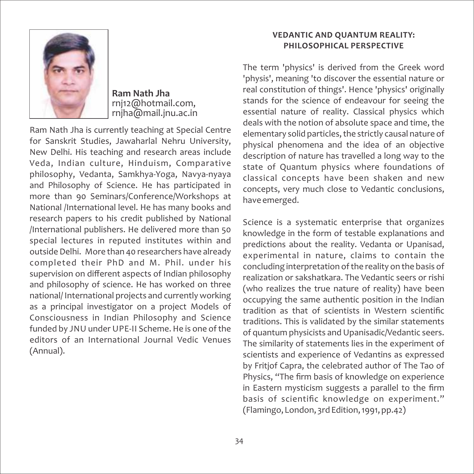

**Ram Nath Jha** rnj12@hotmail.com, rnjha@mail.jnu.ac.in

Ram Nath Jha is currently teaching at Special Centre for Sanskrit Studies, Jawaharlal Nehru University, New Delhi. His teaching and research areas include Veda, Indian culture, Hinduism, Comparative philosophy, Vedanta, Samkhya‐Yoga, Navya‐nyaya and Philosophy of Science. He has participated in more than 90 Seminars/Conference/Workshops at National /International level. He has many books and research papers to his credit published by National /International publishers. He delivered more than 50 special lectures in reputed institutes within and outside Delhi. More than 40 researchers have already completed their PhD and M. Phil. under his supervision on different aspects of Indian philosophy and philosophy of science. He has worked on three national/ International projects and currently working as a principal investigator on a project Models of Consciousness in Indian Philosophy and Science funded by JNU under UPE‐II Scheme. He is one of the editors of an International Journal Vedic Venues (Annual).

#### **VEDANTIC AND QUANTUM REALITY: PHILOSOPHICAL PERSPECTIVE**

The term 'physics' is derived from the Greek word 'physis', meaning 'to discover the essential nature or real constitution of things'. Hence 'physics' originally stands for the science of endeavour for seeing the essential nature of reality. Classical physics which deals with the notion of absolute space and time, the elementary solid particles, the strictly causal nature of physical phenomena and the idea of an objective description of nature has travelled a long way to the state of Quantum physics where foundations of classical concepts have been shaken and new concepts, very much close to Vedantic conclusions, have emerged.

Science is a systematic enterprise that organizes knowledge in the form of testable explanations and predictions about the reality. Vedanta or Upanisad, experimental in nature, claims to contain the concluding interpretation of the reality on the basis of realization or sakshatkara. The Vedantic seers or rishi (who realizes the true nature of reality) have been occupying the same authentic position in the Indian tradition as that of scientists in Western scientific traditions. This is validated by the similar statements of quantum physicists and Upanisadic/Vedantic seers. The similarity of statements lies in the experiment of scientists and experience of Vedantins as expressed by Fritjof Capra, the celebrated author of The Tao of Physics, "The firm basis of knowledge on experience in Eastern mysticism suggests a parallel to the firm basis of scientific knowledge on experiment." (Flamingo, London, 3rd Edition, 1991, pp.42)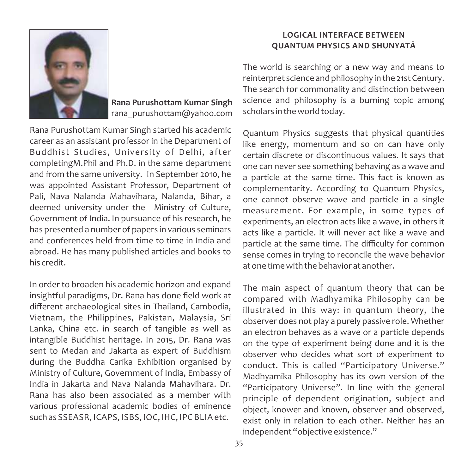

**Rana Purushottam Kumar Singh** rana\_purushottam@yahoo.com

Rana Purushottam Kumar Singh started his academic career as an assistant professor in the Department of Buddhist Studies, University of Delhi, after completingM.Phil and Ph.D. in the same department and from the same university. In September 2010, he was appointed Assistant Professor, Department of Pali, Nava Nalanda Mahavihara, Nalanda, Bihar, a deemed university under the Ministry of Culture, Government of India. In pursuance of his research, he has presented a number of papers in various seminars and conferences held from time to time in India and abroad. He has many published articles and books to his credit.

In order to broaden his academic horizon and expand insightful paradigms, Dr. Rana has done field work at different archaeological sites in Thailand, Cambodia, Vietnam, the Philippines, Pakistan, Malaysia, Sri Lanka, China etc. in search of tangible as well as intangible Buddhist heritage. In 2015, Dr. Rana was sent to Medan and Jakarta as expert of Buddhism during the Buddha Carika Exhibition organised by Ministry of Culture, Government of India, Embassy of India in Jakarta and Nava Nalanda Mahavihara. Dr. Rana has also been associated as a member with various professional academic bodies of eminence such as SSEASR, ICAPS, ISBS, IOC, IHC, IPC BLIAetc.

#### **LOGICAL INTERFACE BETWEEN QUANTUM PHYSICS AND SHUNYATĀ**

The world is searching or a new way and means to reinterpret science and philosophy in the 21st Century. The search for commonality and distinction between science and philosophy is a burning topic among scholars in the world today.

Quantum Physics suggests that physical quantities like energy, momentum and so on can have only certain discrete or discontinuous values. It says that one can never see something behaving as a wave and a particle at the same time. This fact is known as complementarity. According to Quantum Physics, one cannot observe wave and particle in a single measurement. For example, in some types of experiments, an electron acts like a wave, in others it acts like a particle. It will never act like a wave and particle at the same time. The difficulty for common sense comes in trying to reconcile the wave behavior at one time with the behavior at another.

The main aspect of quantum theory that can be compared with Madhyamika Philosophy can be illustrated in this way: in quantum theory, the observer does not play a purely passive role. Whether an electron behaves as a wave or a particle depends on the type of experiment being done and it is the observer who decides what sort of experiment to conduct. This is called "Participatory Universe." Madhyamika Philosophy has its own version of the "Participatory Universe". In line with the general principle of dependent origination, subject and object, knower and known, observer and observed, exist only in relation to each other. Neither has an independent "objective existence."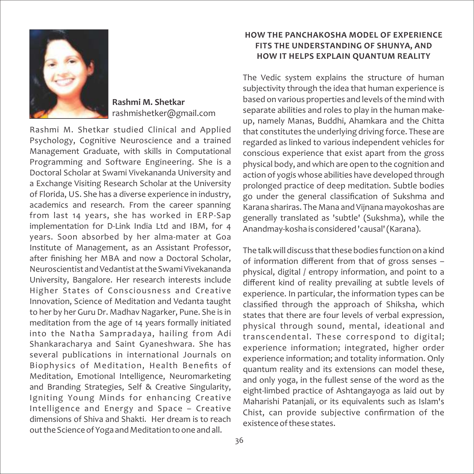

**Rashmi M. Shetkar** rashmishetker@gmail.com

Rashmi M. Shetkar studied Clinical and Applied Psychology, Cognitive Neuroscience and a trained Management Graduate, with skills in Computational Programming and Software Engineering. She is a Doctoral Scholar at Swami Vivekananda University and a Exchange Visiting Research Scholar at the University of Florida, US. She has a diverse experience in industry, academics and research. From the career spanning from last 14 years, she has worked in ERP‐Sap implementation for D-Link India Ltd and IBM, for 4 years. Soon absorbed by her alma‐mater at Goa Institute of Management, as an Assistant Professor, after finishing her MBA and now a Doctoral Scholar, Neuroscientist and Vedantist at the Swami Vivekananda University, Bangalore. Her research interests include Higher States of Consciousness and Creative Innovation, Science of Meditation and Vedanta taught to her by her Guru Dr. Madhav Nagarker, Pune. She is in meditation from the age of 14 years formally initiated into the Natha Sampradaya, hailing from Adi Shankaracharya and Saint Gyaneshwara. She has several publications in international Journals on Biophysics of Meditation, Health Benefits of Meditation, Emotional Intelligence, Neuromarketing and Branding Strategies, Self & Creative Singularity, Igniting Young Minds for enhancing Creative Intelligence and Energy and Space – Creative dimensions of Shiva and Shakti. Her dream is to reach out the Science of Yoga and Meditation to one and all.

#### **HOW THE PANCHAKOSHA MODEL OF EXPERIENCE FITS THE UNDERSTANDING OF SHUNYA, AND HOW IT HELPS EXPLAIN QUANTUM REALITY**

The Vedic system explains the structure of human subjectivity through the idea that human experience is based on various properties and levels of the mind with separate abilities and roles to play in the human make‐ up, namely Manas, Buddhi, Ahamkara and the Chitta that constitutes the underlying driving force. These are regarded as linked to various independent vehicles for conscious experience that exist apart from the gross physical body, and which are open to the cognition and action of yogis whose abilities have developed through prolonged practice of deep meditation. Subtle bodies go under the general classification of Sukshma and Karana shariras. The Mana and Vijnana mayokoshas are generally translated as 'subtle' (Sukshma), while the Anandmay‐kosha is considered 'causal' (Karana).

The talk will discuss that these bodies function on a kind of information different from that of gross senses – physical, digital / entropy information, and point to a different kind of reality prevailing at subtle levels of experience. In particular, the information types can be classified through the approach of Shiksha, which states that there are four levels of verbal expression, physical through sound, mental, ideational and transcendental. These correspond to digital; experience information; integrated, higher order experience information; and totality information. Only quantum reality and its extensions can model these, and only yoga, in the fullest sense of the word as the eight‐limbed practice of Ashtangayoga as laid out by Maharishi Patanjali, or its equivalents such as Islam's Chist, can provide subjective confirmation of the existence of these states.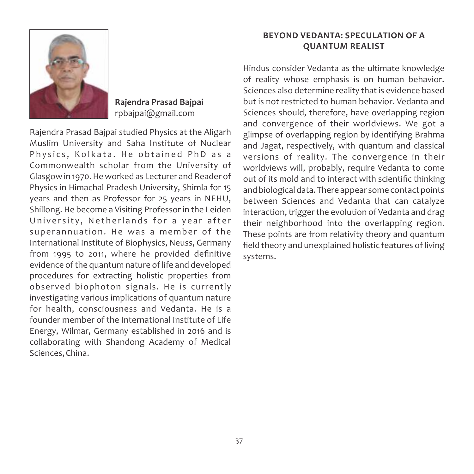

**Rajendra Prasad Bajpai** rpbajpai@gmail.com

Rajendra Prasad Bajpai studied Physics at the Aligarh Muslim University and Saha Institute of Nuclear Physics, Kolkata. He obtained PhD as a Commonwealth scholar from the University of Glasgow in 1970. He worked as Lecturer and Reader of Physics in Himachal Pradesh University, Shimla for 15 years and then as Professor for 25 years in NEHU, Shillong. He become a Visiting Professor in the Leiden University, Netherlands for a year after superannuation. He was a member of the International Institute of Biophysics, Neuss, Germany from 1995 to 2011, where he provided definitive evidence of the quantum nature of life and developed procedures for extracting holistic properties from observed biophoton signals. He is currently investigating various implications of quantum nature for health, consciousness and Vedanta. He is a founder member of the International Institute of Life Energy, Wilmar, Germany established in 2016 and is collaborating with Shandong Academy of Medical Sciences, China.

#### **BEYOND VEDANTA: SPECULATION OF A QUANTUM REALIST**

Hindus consider Vedanta as the ultimate knowledge of reality whose emphasis is on human behavior. Sciences also determine reality that is evidence based but is not restricted to human behavior. Vedanta and Sciences should, therefore, have overlapping region and convergence of their worldviews. We got a glimpse of overlapping region by identifying Brahma and Jagat, respectively, with quantum and classical versions of reality. The convergence in their worldviews will, probably, require Vedanta to come out of its mold and to interact with scientific thinking and biological data. There appear some contact points between Sciences and Vedanta that can catalyze interaction, trigger the evolution of Vedanta and drag their neighborhood into the overlapping region. These points are from relativity theory and quantum field theory and unexplained holistic features of living systems.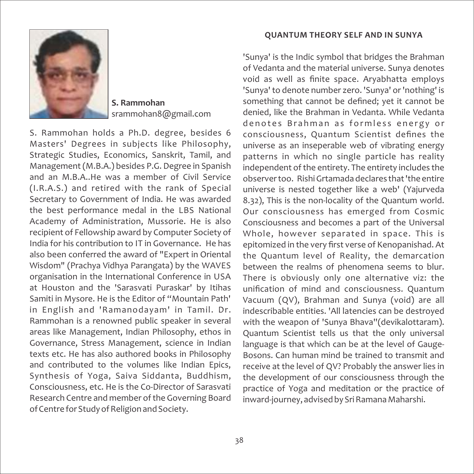

**S. Rammohan** srammohan8@gmail.com

S. Rammohan holds a Ph.D. degree, besides 6 Masters' Degrees in subjects like Philosophy, Strategic Studies, Economics, Sanskrit, Tamil, and Management (M.B.A.) besides P.G. Degree in Spanish and an M.B.A..He was a member of Civil Service (I.R.A.S.) and retired with the rank of Special Secretary to Government of India. He was awarded the best performance medal in the LBS National Academy of Administration, Mussorie. He is also recipient of Fellowship award by Computer Society of India for his contribution to IT in Governance. He has also been conferred the award of "Expert in Oriental Wisdom" (Prachya Vidhya Parangata) by the WAVES organisation in the International Conference in USA at Houston and the 'Sarasvati Puraskar' by Itihas Samiti in Mysore. He is the Editor of "Mountain Path' in English and 'Ramanodayam' in Tamil. Dr. Rammohan is a renowned public speaker in several areas like Management, Indian Philosophy, ethos in Governance, Stress Management, science in Indian texts etc. He has also authored books in Philosophy and contributed to the volumes like Indian Epics, Synthesis of Yoga, Saiva Siddanta, Buddhism, Consciousness, etc. He is the Co‐Director of Sarasvati Research Centre and member of the Governing Board of Centre for Study of Religion and Society.

#### **QUANTUM THEORY SELF AND IN SUNYA**

'Sunya' is the Indic symbol that bridges the Brahman of Vedanta and the material universe. Sunya denotes void as well as finite space. Aryabhatta employs 'Sunya' to denote number zero. 'Sunya' or 'nothing' is something that cannot be defined; yet it cannot be denied, like the Brahman in Vedanta. While Vedanta denotes Brahman as formless energy or consciousness, Quantum Scientist defines the universe as an inseperable web of vibrating energy patterns in which no single particle has reality independent of the entirety. The entirety includes the observer too. Rishi Grtamada declares that 'the entire universe is nested together like a web' (Yajurveda 8.32), This is the non‐locality of the Quantum world. Our consciousness has emerged from Cosmic Consciousness and becomes a part of the Universal Whole, however separated in space. This is epitomized in the very first verse of Kenopanishad. At the Quantum level of Reality, the demarcation between the realms of phenomena seems to blur. There is obviously only one alternative viz: the unification of mind and consciousness. Quantum Vacuum (QV), Brahman and Sunya (void) are all indescribable entities. 'All latencies can be destroyed with the weapon of 'Sunya Bhava''(devikalottaram). Quantum Scientist tells us that the only universal language is that which can be at the level of Gauge-Bosons. Can human mind be trained to transmit and receive at the level of QV? Probably the answer lies in the development of our consciousness through the practice of Yoga and meditation or the practice of inward‐journey, advised by Sri Ramana Maharshi.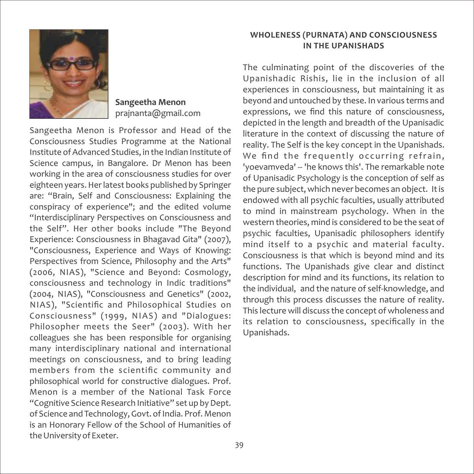

**Sangeetha Menon** prajnanta@gmail.com

Sangeetha Menon is Professor and Head of the Consciousness Studies Programme at the National Institute of Advanced Studies, in the Indian Institute of Science campus, in Bangalore. Dr Menon has been working in the area of consciousness studies for over eighteen years. Her latest books published by Springer are: "Brain, Self and Consciousness: Explaining the conspiracy of experience"; and the edited volume "Interdisciplinary Perspectives on Consciousness and the Self". Her other books include "The Beyond Experience: Consciousness in Bhagavad Gita" (2007), "Consciousness, Experience and Ways of Knowing: Perspectives from Science, Philosophy and the Arts" (2006, NIAS), "Science and Beyond: Cosmology, consciousness and technology in Indic traditions" (2004, NIAS), "Consciousness and Genetics" (2002, NIAS), "Scientific and Philosophical Studies on Consciousness" (1999, NIAS) and "Dialogues: Philosopher meets the Seer" (2003). With her colleagues she has been responsible for organising many interdisciplinary national and international meetings on consciousness, and to bring leading members from the scientific community and philosophical world for constructive dialogues. Prof. Menon is a member of the National Task Force "Cognitive Science Research Initiative" set up by Dept. of Science and Technology, Govt. of India. Prof. Menon is an Honorary Fellow of the School of Humanities of the University of Exeter.

#### **WHOLENESS (PURNATA) AND CONSCIOUSNESS IN THE UPANISHADS**

The culminating point of the discoveries of the Upanishadic Rishis, lie in the inclusion of all experiences in consciousness, but maintaining it as beyond and untouched by these. In various terms and expressions, we find this nature of consciousness, depicted in the length and breadth of the Upanisadic literature in the context of discussing the nature of reality. The Self is the key concept in the Upanishads. We find the frequently occurring refrain, 'yoevamveda' ‐‐ 'he knows this'. The remarkable note of Upanisadic Psychology is the conception of self as the pure subject, which never becomes an object. It is endowed with all psychic faculties, usually attributed to mind in mainstream psychology. When in the western theories, mind is considered to be the seat of psychic faculties, Upanisadic philosophers identify mind itself to a psychic and material faculty. Consciousness is that which is beyond mind and its functions. The Upanishads give clear and distinct description for mind and its functions, its relation to the individual, and the nature of self‐knowledge, and through this process discusses the nature of reality. This lecture will discuss the concept of wholeness and its relation to consciousness, specifically in the Upanishads.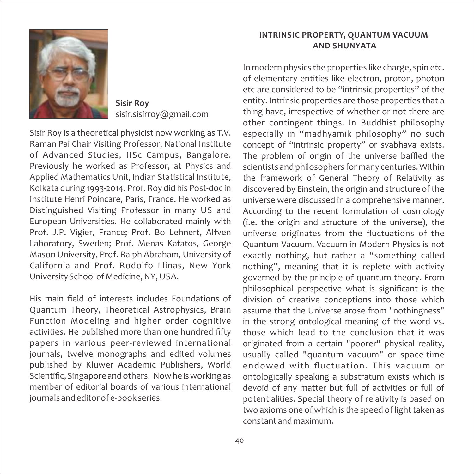

**Sisir Roy** sisir.sisirroy@gmail.com

Sisir Roy is a theoretical physicist now working as T.V. Raman Pai Chair Visiting Professor, National Institute of Advanced Studies, IISc Campus, Bangalore. Previously he worked as Professor, at Physics and Applied Mathematics Unit, Indian Statistical Institute, Kolkata during 1993‐2014. Prof. Roy did his Post‐doc in Institute Henri Poincare, Paris, France. He worked as Distinguished Visiting Professor in many US and European Universities. He collaborated mainly with Prof. J.P. Vigier, France; Prof. Bo Lehnert, Alfven Laboratory, Sweden; Prof. Menas Kafatos, George Mason University, Prof. Ralph Abraham, University of California and Prof. Rodolfo Llinas, New York University School of Medicine, NY, USA.

His main field of interests includes Foundations of Quantum Theory, Theoretical Astrophysics, Brain Function Modeling and higher order cognitive activities. He published more than one hundred fifty papers in various peer‐reviewed international journals, twelve monographs and edited volumes published by Kluwer Academic Publishers, World Scientific, Singapore and others. Now he is working as member of editorial boards of various international journals and editor of e‐book series.

#### **INTRINSIC PROPERTY, QUANTUM VACUUM AND SHUNYATA**

In modern physics the properties like charge, spin etc. of elementary entities like electron, proton, photon etc are considered to be "intrinsic properties" of the entity. Intrinsic properties are those properties that a thing have, irrespective of whether or not there are other contingent things. In Buddhist philosophy especially in "madhyamik philosophy" no such concept of "intrinsic property" or svabhava exists. The problem of origin of the universe baffled the scientists and philosophers for many centuries. Within the framework of General Theory of Relativity as discovered by Einstein, the origin and structure of the universe were discussed in a comprehensive manner. According to the recent formulation of cosmology (i.e. the origin and structure of the universe), the universe originates from the fluctuations of the Quantum Vacuum. Vacuum in Modern Physics is not exactly nothing, but rather a "something called nothing", meaning that it is replete with activity governed by the principle of quantum theory. From philosophical perspective what is significant is the division of creative conceptions into those which assume that the Universe arose from "nothingness" in the strong ontological meaning of the word vs. those which lead to the conclusion that it was originated from a certain "poorer" physical reality, usually called "quantum vacuum" or space‐time endowed with fluctuation. This vacuum or ontologically speaking a substratum exists which is devoid of any matter but full of activities or full of potentialities. Special theory of relativity is based on two axioms one of which is the speed of light taken as constant and maximum.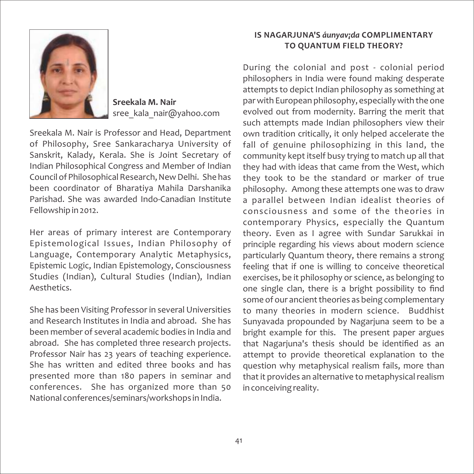

**Sreekala M. Nair** sree\_kala\_nair@yahoo.com

Sreekala M. Nair is Professor and Head, Department of Philosophy, Sree Sankaracharya University of Sanskrit, Kalady, Kerala. She is Joint Secretary of Indian Philosophical Congress and Member of Indian Council of Philosophical Research, New Delhi. She has been coordinator of Bharatiya Mahila Darshanika Parishad. She was awarded Indo‐Canadian Institute Fellowship in 2012.

Her areas of primary interest are Contemporary Epistemological Issues, Indian Philosophy of Language, Contemporary Analytic Metaphysics, Epistemic Logic, Indian Epistemology, Consciousness Studies (Indian), Cultural Studies (Indian), Indian Aesthetics.

She has been Visiting Professor in several Universities and Research Institutes in India and abroad. She has been member of several academic bodies in India and abroad. She has completed three research projects. Professor Nair has 23 years of teaching experience. She has written and edited three books and has presented more than 180 papers in seminar and conferences. She has organized more than 50 National conferences/seminars/workshops in India.

#### **IS NAGARJUNA'S** *áunyav¡da* **COMPLIMENTARY TO QUANTUM FIELD THEORY?**

During the colonial and post ‐ colonial period philosophers in India were found making desperate attempts to depict Indian philosophy as something at par with European philosophy, especially with the one evolved out from modernity. Barring the merit that such attempts made Indian philosophers view their own tradition critically, it only helped accelerate the fall of genuine philosophizing in this land, the community kept itself busy trying to match up all that they had with ideas that came from the West, which they took to be the standard or marker of true philosophy. Among these attempts one was to draw a parallel between Indian idealist theories of consciousness and some of the theories in contemporary Physics, especially the Quantum theory. Even as I agree with Sundar Sarukkai in principle regarding his views about modern science particularly Quantum theory, there remains a strong feeling that if one is willing to conceive theoretical exercises, be it philosophy or science, as belonging to one single clan, there is a bright possibility to find some of our ancient theories as being complementary to many theories in modern science. Buddhist Sunyavada propounded by Nagarjuna seem to be a bright example for this. The present paper argues that Nagarjuna's thesis should be identified as an attempt to provide theoretical explanation to the question why metaphysical realism fails, more than that it provides an alternative to metaphysical realism in conceiving reality.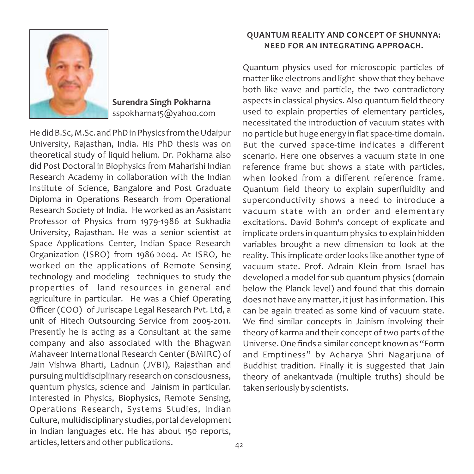

**Surendra Singh Pokharna** sspokharna15@yahoo.com

He did B.Sc, M.Sc. and PhD in Physics from the Udaipur University, Rajasthan, India. His PhD thesis was on theoretical study of liquid helium. Dr. Pokharna also did Post Doctoral in Biophysics from Maharishi Indian Research Academy in collaboration with the Indian Institute of Science, Bangalore and Post Graduate Diploma in Operations Research from Operational Research Society of India. He worked as an Assistant Professor of Physics from 1979‐1986 at Sukhadia University, Rajasthan. He was a senior scientist at Space Applications Center, Indian Space Research Organization (ISRO) from 1986‐2004. At ISRO, he worked on the applications of Remote Sensing technology and modeling techniques to study the properties of land resources in general and agriculture in particular. He was a Chief Operating Officer (COO) of Juriscape Legal Research Pvt. Ltd, a unit of Hitech Outsourcing Service from 2005‐2011. Presently he is acting as a Consultant at the same company and also associated with the Bhagwan Mahaveer International Research Center (BMIRC) of Jain Vishwa Bharti, Ladnun (JVBI), Rajasthan and pursuing multidisciplinary research on consciousness, quantum physics, science and Jainism in particular. Interested in Physics, Biophysics, Remote Sensing, Operations Research, Systems Studies, Indian Culture, multidisciplinary studies, portal development in Indian languages etc. He has about 150 reports, articles, letters and other publications.

#### **QUANTUM REALITY AND CONCEPT OF SHUNNYA: NEED FOR AN INTEGRATING APPROACH.**

Quantum physics used for microscopic particles of matter like electrons and light show that they behave both like wave and particle, the two contradictory aspects in classical physics. Also quantum field theory used to explain properties of elementary particles, necessitated the introduction of vacuum states with no particle but huge energy in flat space-time domain. But the curved space‐time indicates a different scenario. Here one observes a vacuum state in one reference frame but shows a state with particles, when looked from a different reference frame. Quantum field theory to explain superfluidity and superconductivity shows a need to introduce a vacuum state with an order and elementary excitations. David Bohm's concept of explicate and implicate orders in quantum physics to explain hidden variables brought a new dimension to look at the reality. This implicate order looks like another type of vacuum state. Prof. Adrain Klein from Israel has developed a model for sub quantum physics (domain below the Planck level) and found that this domain does not have any matter, it just has information. This can be again treated as some kind of vacuum state. We find similar concepts in Jainism involving their theory of karma and their concept of two parts of the Universe. One finds a similar concept known as "Form and Emptiness" by Acharya Shri Nagarjuna of Buddhist tradition. Finally it is suggested that Jain theory of anekantvada (multiple truths) should be taken seriously by scientists.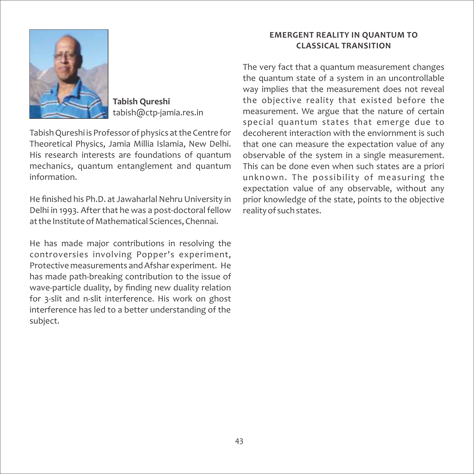

**Tabish Qureshi** tabish@ctp‐jamia.res.in

Tabish Qureshi is Professor of physics at the Centre for Theoretical Physics, Jamia Millia Islamia, New Delhi. His research interests are foundations of quantum mechanics, quantum entanglement and quantum information.

He finished his Ph.D. at Jawaharlal Nehru University in Delhi in 1993. After that he was a post‐doctoral fellow at the Institute of Mathematical Sciences, Chennai.

He has made major contributions in resolving the controversies involving Popper's experiment, Protective measurements and Afshar experiment. He has made path‐breaking contribution to the issue of wave-particle duality, by finding new duality relation for 3‐slit and n‐slit interference. His work on ghost interference has led to a better understanding of the subject.

#### **EMERGENT REALITY IN QUANTUM TO CLASSICAL TRANSITION**

The very fact that a quantum measurement changes the quantum state of a system in an uncontrollable way implies that the measurement does not reveal the objective reality that existed before the measurement. We argue that the nature of certain special quantum states that emerge due to decoherent interaction with the enviornment is such that one can measure the expectation value of any observable of the system in a single measurement. This can be done even when such states are a priori unknown. The possibility of measuring the expectation value of any observable, without any prior knowledge of the state, points to the objective reality of such states.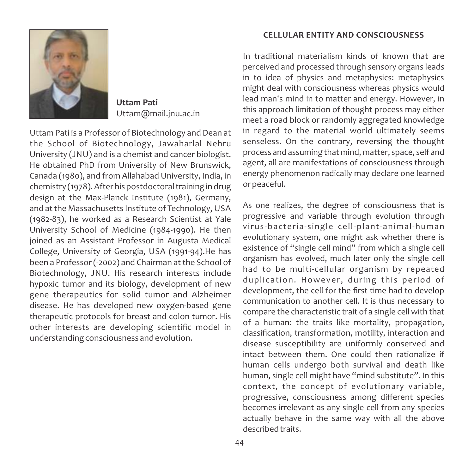

**Uttam Pati** Uttam@mail.jnu.ac.in

Uttam Pati is a Professor of Biotechnology and Dean at the School of Biotechnology, Jawaharlal Nehru University (JNU) and is a chemist and cancer biologist. He obtained PhD from University of New Brunswick, Canada (1980), and from Allahabad University, India, in chemistry (1978). After his postdoctoral training in drug design at the Max‐Planck Institute (1981), Germany, and at the Massachusetts Institute of Technology, USA (1982‐83), he worked as a Research Scientist at Yale University School of Medicine (1984‐1990). He then joined as an Assistant Professor in Augusta Medical College, University of Georgia, USA (1991‐94).He has been a Professor (‐2002) and Chairman at the School of Biotechnology, JNU. His research interests include hypoxic tumor and its biology, development of new gene therapeutics for solid tumor and Alzheimer disease. He has developed new oxygen‐based gene therapeutic protocols for breast and colon tumor. His other interests are developing scientific model in understanding consciousness and evolution.

#### **CELLULAR ENTITY AND CONSCIOUSNESS**

In traditional materialism kinds of known that are perceived and processed through sensory organs leads in to idea of physics and metaphysics: metaphysics might deal with consciousness whereas physics would lead man's mind in to matter and energy. However, in this approach limitation of thought process may either meet a road block or randomly aggregated knowledge in regard to the material world ultimately seems senseless. On the contrary, reversing the thought process and assuming that mind, matter, space, self and agent, all are manifestations of consciousness through energy phenomenon radically may declare one learned or peaceful.

As one realizes, the degree of consciousness that is progressive and variable through evolution through virus‐bacteria‐single cell‐plant‐animal‐human evolutionary system, one might ask whether there is existence of "single cell mind" from which a single cell organism has evolved, much later only the single cell had to be multi-cellular organism by repeated duplication. However, during this period of development, the cell for the first time had to develop communication to another cell. It is thus necessary to compare the characteristic trait of a single cell with that of a human: the traits like mortality, propagation, classification, transformation, motility, interaction and disease susceptibility are uniformly conserved and intact between them. One could then rationalize if human cells undergo both survival and death like human, single cell might have "mind substitute". In this context, the concept of evolutionary variable, progressive, consciousness among different species becomes irrelevant as any single cell from any species actually behave in the same way with all the above described traits.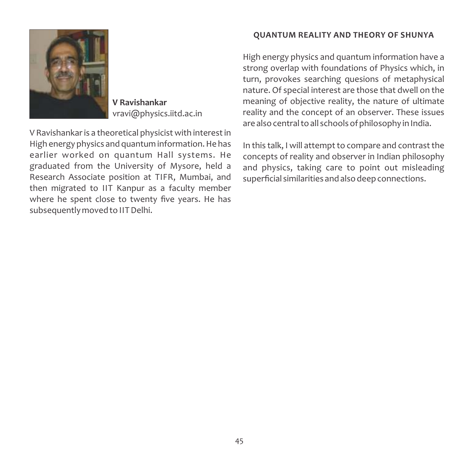**V Ravishankar** vravi@physics.iitd.ac.in

V Ravishankar is a theoretical physicist with interest in High energy physics and quantum information. He has earlier worked on quantum Hall systems. He graduated from the University of Mysore, held a Research Associate position at TIFR, Mumbai, and then migrated to IIT Kanpur as a faculty member where he spent close to twenty five years. He has subsequently moved to IIT Delhi.

#### **QUANTUM REALITY AND THEORY OF SHUNYA**

High energy physics and quantum information have a strong overlap with foundations of Physics which, in turn, provokes searching quesions of metaphysical nature. Of special interest are those that dwell on the meaning of objective reality, the nature of ultimate reality and the concept of an observer. These issues are also central to all schools of philosophy in India.

In this talk, I will attempt to compare and contrast the concepts of reality and observer in Indian philosophy and physics, taking care to point out misleading superficial similarities and also deep connections.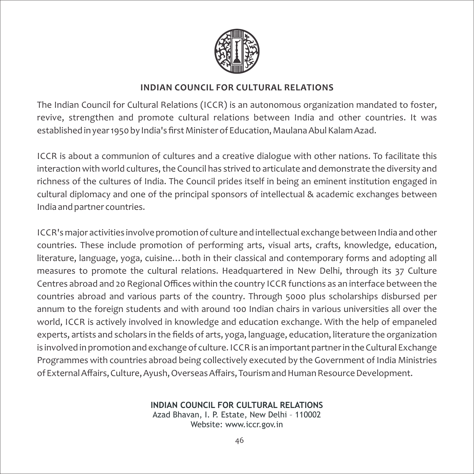

#### **INDIAN COUNCIL FOR CULTURAL RELATIONS**

The Indian Council for Cultural Relations (ICCR) is an autonomous organization mandated to foster, revive, strengthen and promote cultural relations between India and other countries. It was established in year 1950 by India's first Minister of Education, Maulana Abul Kalam Azad.

ICCR is about a communion of cultures and a creative dialogue with other nations. To facilitate this interaction with world cultures, the Council has strived to articulate and demonstrate the diversity and richness of the cultures of India. The Council prides itself in being an eminent institution engaged in cultural diplomacy and one of the principal sponsors of intellectual & academic exchanges between India and partner countries.

ICCR's major activities involve promotion of culture and intellectual exchange between India and other countries. These include promotion of performing arts, visual arts, crafts, knowledge, education, literature, language, yoga, cuisine…both in their classical and contemporary forms and adopting all measures to promote the cultural relations. Headquartered in New Delhi, through its 37 Culture Centres abroad and 20 Regional Offices within the country ICCR functions as an interface between the countries abroad and various parts of the country. Through 5000 plus scholarships disbursed per annum to the foreign students and with around 100 Indian chairs in various universities all over the world, ICCR is actively involved in knowledge and education exchange. With the help of empaneled experts, artists and scholars in the fields of arts, yoga, language, education, literature the organization is involved in promotion and exchange of culture. ICCR is an important partner in the Cultural Exchange Programmes with countries abroad being collectively executed by the Government of India Ministries of External Affairs, Culture, Ayush, Overseas Affairs, Tourism and Human Resource Development.

> **INDIAN COUNCIL FOR CULTURAL RELATIONS** Azad Bhavan, I. P. Estate, New Delhi – 110002

Website: www.iccr.gov.in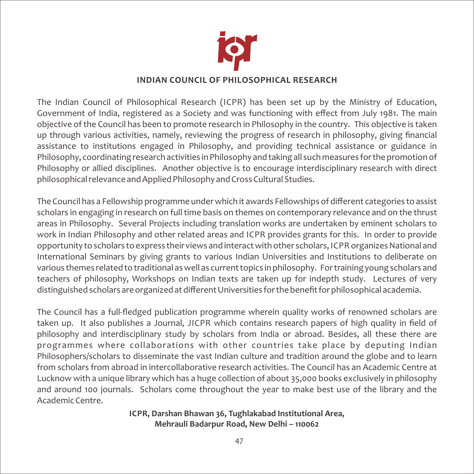

#### **INDIAN COUNCIL OF PHILOSOPHICAL RESEARCH**

The Indian Council of Philosophical Research (ICPR) has been set up by the Ministry of Education, Government of India, registered as a Society and was functioning with effect from July 1981. The main objective of the Council has been to promote research in Philosophy in the country. This objective is taken up through various activities, namely, reviewing the progress of research in philosophy, giving financial assistance to institutions engaged in Philosophy, and providing technical assistance or guidance in Philosophy, coordinating research activities in Philosophy and taking all such measures for the promotion of Philosophy or allied disciplines. Another objective is to encourage interdisciplinary research with direct philosophical relevance and Applied Philosophy and Cross Cultural Studies.

The Council has a Fellowship programme under which it awards Fellowships of different categories to assist scholars in engaging in research on full time basis on themes on contemporary relevance and on the thrust areas in Philosophy. Several Projects including translation works are undertaken by eminent scholars to work in Indian Philosophy and other related areas and ICPR provides grants for this. In order to provide opportunity to scholars to express their views and interact with other scholars, ICPR organizes National and International Seminars by giving grants to various Indian Universities and Institutions to deliberate on various themes related to traditional as well as current topics in philosophy. For training young scholars and teachers of philosophy, Workshops on Indian texts are taken up for indepth study. Lectures of very distinguished scholars are organized at different Universities for the benefit for philosophical academia.

The Council has a full-fledged publication programme wherein quality works of renowned scholars are taken up. It also publishes a Journal, JICPR which contains research papers of high quality in field of philosophy and interdisciplinary study by scholars from India or abroad. Besides, all these there are programmes where collaborations with other countries take place by deputing Indian Philosophers/scholars to disseminate the vast Indian culture and tradition around the globe and to learn from scholars from abroad in intercollaborative research activities. The Council has an Academic Centre at Lucknow with a unique library which has a huge collection of about 35,000 books exclusively in philosophy and around 100 journals. Scholars come throughout the year to make best use of the library and the Academic Centre.

> **ICPR, Darshan Bhawan 36, Tughlakabad Institutional Area, Mehrauli Badarpur Road, New Delhi – 110062**